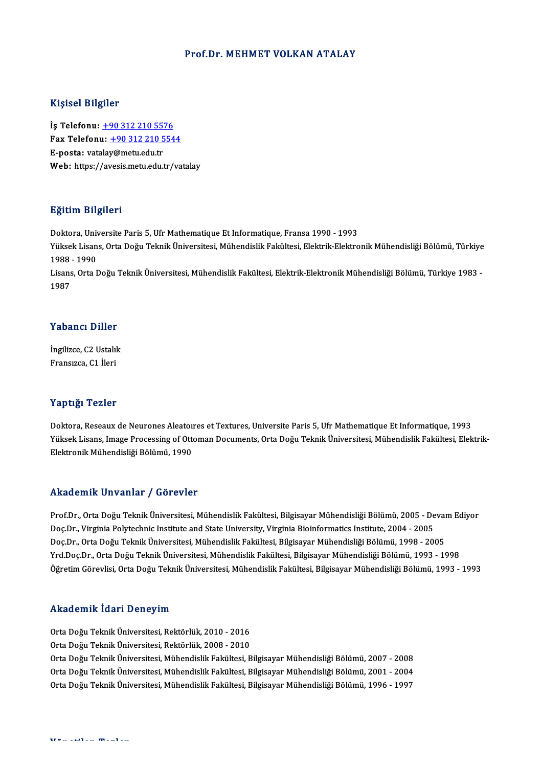### Prof.Dr. MEHMET VOLKAN ATALAY

### Kişisel Bilgiler

Kişisel Bilgiler<br>İş Telefonu: <u>+90 312 210 5576</u><br>Fax Telefonu: +90 312 210 554 1133001 2115101<br>İş Telefonu: <u>+90 312 210 5576</u><br>Fax Telefonu: <u>+90 312 210 5544</u><br>Fassta: vatalay@metu.edu.tr İş Telefonu: <u>+90 312 210 55'</u><br>Fax Telefonu: <u>+90 312 210 5</u><br>E-posta: vat[ala](tel:+90 312 210 5576)[y@metu.edu.tr](tel:+90 312 210 5544)<br>Web: https://avesis.metu.edu.tr Fax Telefonu: <u>+90 312 210 5544</u><br>E-posta: vatalay@metu.edu.tr<br>Web: https://avesis.metu.edu.tr/vatalay

### Eğitim Bilgileri

<mark>Eğitim Bilgileri</mark><br>Doktora, Universite Paris 5, Ufr Mathematique Et Informatique, Fransa 1990 - 1993<br><sup>Vültsek Lisans, Orta Doğu Telmik Üniversitesi, Mühandislik Fakültesi, Flektrik Flektro</sup> 25.0000 Zagaseaa<br>Doktora, Universite Paris 5, Ufr Mathematique Et Informatique, Fransa 1990 - 1993<br>Yüksek Lisans, Orta Doğu Teknik Üniversitesi, Mühendislik Fakültesi, Elektrik-Elektronik Mühendisliği Bölümü, Türkiye Doktora, Univ<br>Yüksek Lisan<br>1988 - 1990<br>Lisans, Orta L Yüksek Lisans, Orta Doğu Teknik Üniversitesi, Mühendislik Fakültesi, Elektrik-Elektronik Mühendisliği Bölümü, Türkiye<br>1988 - 1990<br>Lisans, Orta Doğu Teknik Üniversitesi, Mühendislik Fakültesi, Elektrik-Elektronik Mühendisli 1988 - 1990<br>Lisans, Orta Doğu Teknik Üniversitesi, Mühendislik Fakültesi, Elektrik-Elektronik Mühendisliği Bölümü, Türkiye 1983 -<br>1987

### Yabancı Diller

**Yabancı Diller<br>İngilizce, C2 Ustalık**<br>Fransızce, C1 İleri Fransızca, C1 İleri<br>Fransızca, C1 İleri Fransızca, C1 İleri<br>Yaptığı Tezler

Doktora, Reseaux de Neurones Aleatoıres et Textures, Universite Paris 5, Ufr Mathematique Et Informatique, 1993 Yüksek Teneer<br>Doktora, Reseaux de Neurones Aleatoıres et Textures, Universite Paris 5, Ufr Mathematique Et Informatique, 1993<br>Yüksek Lisans, Image Processing of Ottoman Documents, Orta Doğu Teknik Üniversitesi, Mühendislik Doktora, Reseaux de Neurones Aleaton<br>Yüksek Lisans, Image Processing of Ott<br>Elektronik Mühendisliği Bölümü, 1990 Elektronik Mühendisliği Bölümü, 1990<br>Akademik Unvanlar / Görevler

Akademik Unvanlar / Görevler<br>Prof.Dr., Orta Doğu Teknik Üniversitesi, Mühendislik Fakültesi, Bilgisayar Mühendisliği Bölümü, 2005 - Devam Ediyor<br>Des Dr. Virginia Poktsehnis Institute and State University Virginia Bioinform rrittuteririk Shrumar 7 usrevici<br>Prof.Dr., Orta Doğu Teknik Üniversitesi, Mühendislik Fakültesi, Bilgisayar Mühendisliği Bölümü, 2005 - De<br>Doc.Dr., Virginia Polytechnic Institute and State University, Virginia Bioinformati Prof.Dr., Orta Doğu Teknik Üniversitesi, Mühendislik Fakültesi, Bilgisayar Mühendisliği Bölümü, 2005 - Devai<br>Doç.Dr., Virginia Polytechnic Institute and State University, Virginia Bioinformatics Institute, 2004 - 2005<br>Doç. Doç.Dr., Virginia Polytechnic Institute and State University, Virginia Bioinformatics Institute, 2004 - 2005<br>Doç.Dr., Orta Doğu Teknik Üniversitesi, Mühendislik Fakültesi, Bilgisayar Mühendisliği Bölümü, 1998 - 2005<br>Yrd.Do Yrd.Doç.Dr., Orta Doğu Teknik Üniversitesi, Mühendislik Fakültesi, Bilgisayar Mühendisliği Bölümü, 1993 - 1998<br>Öğretim Görevlisi, Orta Doğu Teknik Üniversitesi, Mühendislik Fakültesi, Bilgisayar Mühendisliği Bölümü, 1993 -

### Akademik İdari Deneyim

Akademik İdari Deneyim<br>Orta Doğu Teknik Üniversitesi, Rektörlük, 2010 - 2016<br>Orta Doğu Telmik Üniversitesi, Bektörlük, 2008 - 2010 orta Doğu Teknik Üniversitesi, Rektörlük, 2010 - 2016<br>Orta Doğu Teknik Üniversitesi, Rektörlük, 2010 - 2016<br>Orta Doğu Teknik Üniversitesi, Rektörlük, 2008 - 2010 Orta Doğu Teknik Üniversitesi, Rektörlük, 2008 - 2010<br>Orta Doğu Teknik Üniversitesi, Mühendislik Fakültesi, Bilgisayar Mühendisliği Bölümü, 2007 - 2008 Orta Doğu Teknik Üniversitesi, Rektörlük, 2008 - 2010<br>Orta Doğu Teknik Üniversitesi, Mühendislik Fakültesi, Bilgisayar Mühendisliği Bölümü, 2007 - 2008<br>Orta Doğu Teknik Üniversitesi, Mühendislik Fakültesi, Bilgisayar Mühen Orta Doğu Teknik Üniversitesi, Mühendislik Fakültesi, Bilgisayar Mühendisliği Bölümü, 2007 - 2008<br>Orta Doğu Teknik Üniversitesi, Mühendislik Fakültesi, Bilgisayar Mühendisliği Bölümü, 2001 - 2004<br>Orta Doğu Teknik Üniversit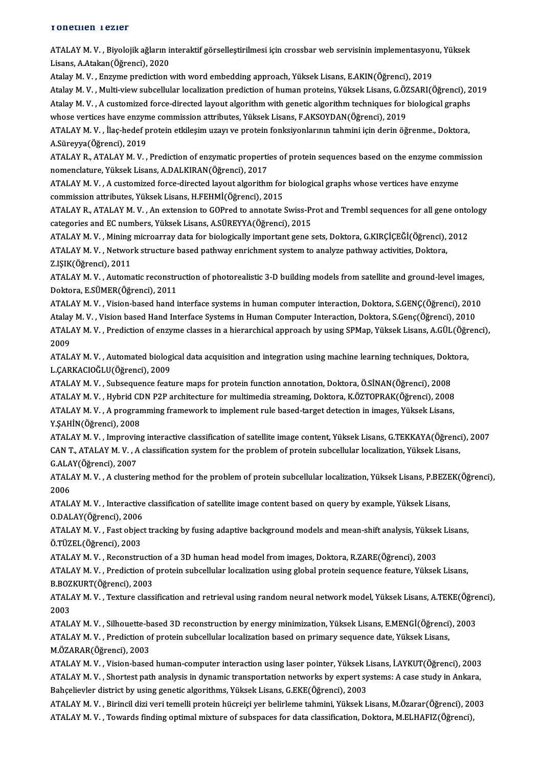### Yonetilen Tezler

ATALAYM.V., Biyolojik ağların interaktif görselleştirilmesi için crossbar web servisinin implementasyonu, Yüksek Lisans,A.Atakan(Öğrenci),2020

AtalayM.V. ,Enzyme predictionwithword embedding approach,YüksekLisans,E.AKIN(Öğrenci),2019 Atalay M.V., Multi-view subcellular localization prediction of human proteins, Yüksek Lisans, G.ÖZSARI(Öğrenci), 2019 Atalay M. V. , Enzyme prediction with word embedding approach, Yüksek Lisans, E.AKIN(Öğrenci), 2019<br>Atalay M. V. , Multi-view subcellular localization prediction of human proteins, Yüksek Lisans, G.ÖZSARI(Öğrenci), 2<br>Atala Atalay M. V. , Multi-view subcellular localization prediction of human proteins, Yüksek Lisans, G.ÖZ<br>Atalay M. V. , A customized force-directed layout algorithm with genetic algorithm techniques for l<br>whose vertices have e Atalay M. V. , A customized force-directed layout algorithm with genetic algorithm techniques for biological graphs<br>whose vertices have enzyme commission attributes, Yüksek Lisans, F.AKSOYDAN(Öğrenci), 2019<br>ATALAY M. V. ,

whose vertices have enzyme commission attributes, Yüksek Lisans, F.AKSOYDAN(Öğrenci), 2019<br>ATALAY M. V. , İlaç-hedef protein etkileşim uzayı ve protein fonksiyonlarının tahmini için derin öğrenme., Doktora,<br>A.Süreyya(Öğren ATALAY M. V. , İlaç-hedef protein etkileşim uzayı ve protein fonksiyonlarının tahmini için derin öğrenme., Doktora,<br>A.Süreyya(Öğrenci), 2019<br>ATALAY R., ATALAY M. V. , Prediction of enzymatic properties of protein sequences

A.Süreyya(Öğrenci), 2019<br>ATALAY R., ATALAY M. V. , Prediction of enzymatic properti<br>nomenclature, Yüksek Lisans, A.DALKIRAN(Öğrenci), 2017<br>ATALAY M. V. , A. sustemired forse dirested layevt alsorithn ATALAY R., ATALAY M. V. , Prediction of enzymatic properties of protein sequences based on the enzyme comm<br>nomenclature, Yüksek Lisans, A.DALKIRAN(Öğrenci), 2017<br>ATALAY M. V. , A customized force-directed layout algorithm

nomenclature, Yüksek Lisans, A.DALKIRAN(Öğrenci), 2017<br>ATALAY M. V. , A customized force-directed layout algorithm for biological graphs whose vertices have enzyme<br>commission attributes, Yüksek Lisans, H.FEHMİ(Öğrenci), 20 ATALAY M. V. , A customized force-directed layout algorithm for biological graphs whose vertices have enzyme<br>commission attributes, Yüksek Lisans, H.FEHMİ(Öğrenci), 2015<br>ATALAY R., ATALAY M. V. , An extension to GOPred to

categories and EC numbers, Yüksek Lisans, A.SÜREYYA(Öğrenci), 2015 ATALAY R., ATALAY M. V. , An extension to GOPred to annotate Swiss-Prot and Trembl sequences for all gene onto<br>categories and EC numbers, Yüksek Lisans, A.SÜREYYA(Öğrenci), 2015<br>ATALAY M. V. , Mining microarray data for bi

categories and EC numbers, Yüksek Lisans, A.SÜREYYA(Öğrenci), 2015<br>ATALAY M. V. , Mining microarray data for biologically important gene sets, Doktora, G.KIRÇİÇEĞİ(Öğrenci),<br>ATALAY M. V. , Network structure based pathway e ATALAY M. V. , Mining<br>ATALAY M. V. , Networ<br>Z.IŞIK(Öğrenci), 2011<br>ATALAY M. V. , Automa ATALAY M. V. , Network structure based pathway enrichment system to analyze pathway activities, Doktora,<br>Z.IŞIK(Öğrenci), 2011<br>ATALAY M. V. , Automatic reconstruction of photorealistic 3-D building models from satellite an

Z.IŞIK(Öğrenci), 2011<br>ATALAY M. V. , Automatic reconstru<br>Doktora, E.SÜMER(Öğrenci), 2011<br>ATALAY M. V. , Vision based band i ATALAY M. V. , Automatic reconstruction of photorealistic 3-D building models from satellite and ground-level images,<br>Doktora, E.SÜMER(Öğrenci), 2011<br>Atalay M. V. , Vision-based hand interface systems in human computer int Doktora, E.SÜMER(Öğrenci), 2011<br>ATALAY M. V. , Vision-based hand interface systems in human computer interaction, Doktora, S.GENÇ(Öğrenci), 2010

ATALAY M. V. , Vision-based hand interface systems in human computer interaction, Doktora, S.GENÇ(Öğrenci), 2010<br>Atalay M. V. , Vision based Hand Interface Systems in Human Computer Interaction, Doktora, S.Genç(Öğrenci), 2 Atalay M. V. , Vision based Hand Interface Systems in Human Computer Interaction, Doktora, S.Genç(Öğrenci), 2010<br>ATALAY M. V. , Prediction of enzyme classes in a hierarchical approach by using SPMap, Yüksek Lisans, A.GÜL(Ö ATALAY M. V. , Prediction of enzyme classes in a hierarchical approach by using SPMap, Yüksek Lisans, A.GÜL(Öğr<br>2009<br>ATALAY M. V. , Automated biological data acquisition and integration using machine learning techniques, D

ATALAY M. V. , Automated biological data acquisition and integration using machine learning techniques, Doktora,<br>L.ÇARKACIOĞLU(Öğrenci), 2009 ATALAY M. V. , Automated biological data acquisition and integration using machine learning techniques, Dokt<br>L.ÇARKACIOĞLU(Öğrenci), 2009<br>ATALAY M. V. , Subsequence feature maps for protein function annotation, Doktora, Ö.

L.ÇARKACIOĞLU(Öğrenci), 2009<br>ATALAY M. V. , Subsequence feature maps for protein function annotation, Doktora, Ö.SİNAN(Öğrenci), 2008<br>ATALAY M. V. , Hybrid CDN P2P architecture for multimedia streaming, Doktora, K.ÖZTOPRAK ATALAY M. V. , Subsequence feature maps for protein function annotation, Doktora, Ö.SİNAN(Öğrenci), 2008<br>ATALAY M. V. , Hybrid CDN P2P architecture for multimedia streaming, Doktora, K.ÖZTOPRAK(Öğrenci), 2008<br>ATALAY M. V.

ATALAY M. V. , Hybrid CDN P2P architecture for multimedia streaming, Doktora, K.ÖZTOPRAK(Öğrenci), 2008<br>ATALAY M. V. , A programming framework to implement rule based-target detection in images, Yüksek Lisans,<br>Y.ŞAHİN(Öğre ATALAY M. V. , A programming framework to implement rule based-target detection in images, Yüksek Lisans,<br>Y.ŞAHİN(Öğrenci), 2008<br>ATALAY M. V. , Improving interactive classification of satellite image content, Yüksek Lisans

Y.ŞAHİN(Öğrenci), 2008<br>ATALAY M. V. , Improving interactive classification of satellite image content, Yüksek Lisans, G.TEKKAYA(Öğrenc<br>CAN T., ATALAY M. V. , A classification system for the problem of protein subcellular l ATALAY M. V. , Improvin<br>CAN T., ATALAY M. V. , A<br>G.ALAY(Öğrenci), 2007<br>ATALAY M. V. , A cluster CAN T., ATALAY M. V. , A classification system for the problem of protein subcellular localization, Yüksek Lisans,<br>G.ALAY(Öğrenci), 2007<br>ATALAY M. V. , A clustering method for the problem of protein subcellular localizatio

**G.ALA<br>ATAL/<br>2006<br>ATAL** ATALAY M. V. , A clustering method for the problem of protein subcellular localization, Yüksek Lisans, P.BEZE<br>2006<br>ATALAY M. V. , Interactive classification of satellite image content based on query by example, Yüksek Lisa

2006<br>ATALAY M. V. , Interactive<br>O.DALAY(Öğrenci), 2006<br>ATALAY M. V. – Fest object ATALAY M. V. , Interactive classification of satellite image content based on query by example, Yüksek Lisans,<br>O.DALAY(Öğrenci), 2006<br>ATALAY M. V. , Fast object tracking by fusing adaptive background models and mean-shift

O.DALAY(Öğrenci), 2006<br>ATALAY M. V. , Fast objec<br>Ö.TÜZEL(Öğrenci), 2003<br>ATALAY M. V. , Besenstru ATALAY M. V. , Fast object tracking by fusing adaptive background models and mean-shift analysis, Yüksel<br>Ö.TÜZEL(Öğrenci), 2003<br>ATALAY M. V. , Reconstruction of a 3D human head model from images, Doktora, R.ZARE(Öğrenci),

Ö.TÜZEL(Öğrenci), 2003<br>ATALAY M. V. , Reconstruction of a 3D human head model from images, Doktora, R.ZARE(Öğrenci), 2003<br>ATALAY M. V. , Prediction of protein subcellular localization using global protein sequence feature, ATALAY M. V. , Reconstruction<br>ATALAY M. V. , Prediction of<br>B.BOZKURT(Öğrenci), 2003<br>ATALAY M. V. , Teutune alasa ATALAY M. V. , Prediction of protein subcellular localization using global protein sequence feature, Yüksek Lisans,<br>B.BOZKURT(Öğrenci), 2003<br>ATALAY M. V. , Texture classification and retrieval using random neural network m

B.BOZKURT(Öğrenci), 2003<br>ATALAY M. V. , Texture classification and retrieval using random neural network model, Yüksek Lisans, A.TEKE(Öğrenci),<br>2003 ATALAY M. V. , Texture classification and retrieval using random neural network model, Yüksek Lisans, A.TEKE(Öğre<br>2003<br>ATALAY M. V. , Silhouette-based 3D reconstruction by energy minimization, Yüksek Lisans, E.MENGİ(Öğrenc

2003<br>ATALAY M. V. , Silhouette-based 3D reconstruction by energy minimization, Yüksek Lisans, E.MENGİ(Öğrenci)<br>ATALAY M. V. , Prediction of protein subcellular localization based on primary sequence date, Yüksek Lisans,<br>M. ATALAY M. V. , Silhouette-ba<br>ATALAY M. V. , Prediction o<br>M.ÖZARAR(Öğrenci), 2003<br>ATALAY M. V. , Vision basse ATALAY M. V. , Prediction of protein subcellular localization based on primary sequence date, Yüksek Lisans,<br>M.ÖZARAR(Öğrenci), 2003<br>ATALAY M. V. , Vision-based human-computer interaction using laser pointer, Yüksek Lisans

M.ÖZARAR(Öğrenci), 2003<br>ATALAY M. V. , Vision-based human-computer interaction using laser pointer, Yüksek Lisans, İ.AYKUT(Öğrenci), 2003<br>ATALAY M. V. , Shortest path analysis in dynamic transportation networks by expert s ATALAY M. V. , Vision-based human-computer interaction using laser pointer, Yüksek L<br>ATALAY M. V. , Shortest path analysis in dynamic transportation networks by expert sy<br>Bahçelievler district by using genetic algorithms, ATALAY M. V. , Shortest path analysis in dynamic transportation networks by expert systems: A case study in Ankara,<br>Bahçelievler district by using genetic algorithms, Yüksek Lisans, G.EKE(Öğrenci), 2003<br>ATALAY M. V. , Biri

Bahçelievler district by using genetic algorithms, Yüksek Lisans, G.EKE(Öğrenci), 2003<br>ATALAY M. V. , Birincil dizi veri temelli protein hücreiçi yer belirleme tahmini, Yüksek Lisans, M.Özarar(Öğrenci), 20<br>ATALAY M. V. , T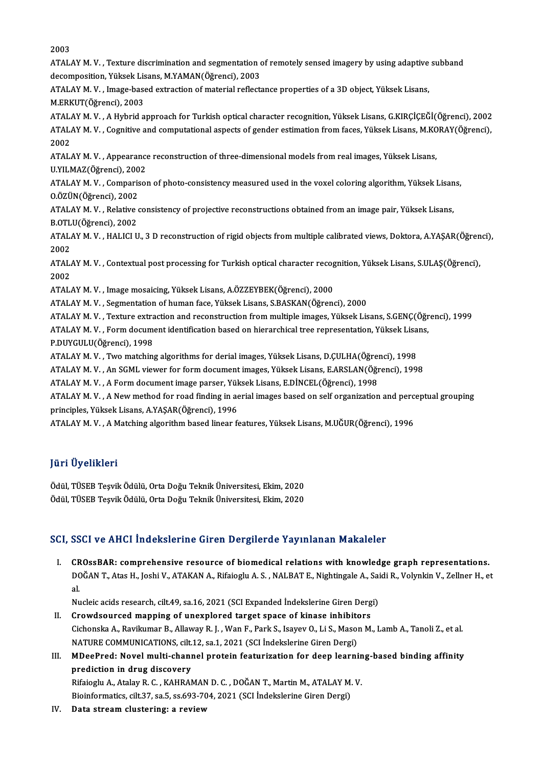2003

2003<br>ATALAY M. V. , Texture discrimination and segmentation of remotely sensed imagery by using adaptive subband<br>desempesition, Vilkelk Lisens, M.YAMAN(Öğrensi), 2002 2003<br>ATALAY M. V. , Texture discrimination and segmentation of<br>decomposition, Yüksek Lisans, M.YAMAN(Öğrenci), 2003<br>ATALAY M. V. , Image based evtrastion of material reflects ATALAY M. V. , Texture discrimination and segmentation of remotely sensed imagery by using adaptive<br>decomposition, Yüksek Lisans, M.YAMAN(Öğrenci), 2003<br>ATALAY M. V. , Image-based extraction of material reflectance propert decomposition, Yüksek Lisans, M.YAMAN(Öğrenci), 2003<br>ATALAY M. V. , Image-based extraction of material reflectance properties of a 3D object, Yüksek Lisans,<br>M.ERKUT(Öğrenci), 2003 ATALAYM.V. ,AHybrid approach forTurkish optical character recognition,YüksekLisans,G.KIRÇİÇEĞİ(Öğrenci),2002 M.ERKUT(Öğrenci), 2003<br>ATALAY M. V. , A Hybrid approach for Turkish optical character recognition, Yüksek Lisans, G.KIRÇİÇEĞİ(Öğrenci), 2002<br>ATALAY M. V. , Cognitive and computational aspects of gender estimation from face ATAL<br>ATAL<br>2002<br>ATAL ATALAY M. V. , Cognitive and computational aspects of gender estimation from faces, Yüksek Lisans, M.KO<br>2002<br>ATALAY M. V. , Appearance reconstruction of three-dimensional models from real images, Yüksek Lisans,<br>U.V.U.MAZ(Ö 2002<br>ATALAY M. V. , Appearance<br>U.YILMAZ(Öğrenci), 2002<br>ATALAY M. V. , Comparisel ATALAY M. V. , Appearance reconstruction of three-dimensional models from real images, Yüksek Lisans,<br>U.YILMAZ(Öğrenci), 2002<br>ATALAY M. V. , Comparison of photo-consistency measured used in the voxel coloring algorithm, Yü U.YILMAZ(Öğrenci), 200<br>ATALAY M. V. , Comparis<br>O.ÖZÜN(Öğrenci), 2002<br>ATALAY M. V. , Belative 4 ATALAY M.V., Relative consistency of projective reconstructions obtained from an image pair, Yüksek Lisans, O.ÖZÜN(Öğrenci), 2002<br>ATALAY M. V. , Relative<br>B.OTLU(Öğrenci), 2002<br>ATALAY M. V. , HALICLU ATALAY M. V. , Relative consistency of projective reconstructions obtained from an image pair, Yüksek Lisans,<br>B.OTLU(Öğrenci), 2002<br>ATALAY M. V. , HALICI U., 3 D reconstruction of rigid objects from multiple calibrated vie **B.OTL<br>ATAL/<br>2002** ATALAY M. V. , HALICI U., 3 D reconstruction of rigid objects from multiple calibrated views, Doktora, A.YAŞAR(Öğren<br>2002<br>ATALAY M. V. , Contextual post processing for Turkish optical character recognition, Yüksek Lisans, 2002<br>ATALAY M. V. , Contextual post processing for Turkish optical character recognition, Yüksek Lisans, S.ULAŞ(Öğrenci),<br>2002 ATALAY M.V., Image mosaicing, Yüksek Lisans, A.ÖZZEYBEK(Öğrenci), 2000 ATALAY M.V., Segmentation of human face, Yüksek Lisans, S.BASKAN(Öğrenci), 2000 ATALAY M. V. , Image mosaicing, Yüksek Lisans, A.ÖZZEYBEK(Öğrenci), 2000<br>ATALAY M. V. , Segmentation of human face, Yüksek Lisans, S.BASKAN(Öğrenci), 2000<br>ATALAY M. V. , Texture extraction and reconstruction from multiple ATALAY M. V. , Segmentation of human face, Yüksek Lisans, S.BASKAN(Öğrenci), 2000<br>ATALAY M. V. , Texture extraction and reconstruction from multiple images, Yüksek Lisans, S.GENÇ(Öğr<br>ATALAY M. V. , Form document identifica ATALAY M. V. , Texture extra<br>ATALAY M. V. , Form docum<br>P.DUYGULU(Öğrenci), 1998<br>ATALAY M. V. . Ture matchin ATALAY M. V. , Form document identification based on hierarchical tree representation, Yüksek Lisa<br>P.DUYGULU(Öğrenci), 1998<br>ATALAY M. V. , Two matching algorithms for derial images, Yüksek Lisans, D.ÇULHA(Öğrenci), 1998<br>AT P.DUYGULU(Öğrenci), 1998<br>ATALAY M. V. , Two matching algorithms for derial images, Yüksek Lisans, D.ÇULHA(Öğrenci), 1998<br>ATALAY M. V. , An SGML viewer for form document images, Yüksek Lisans, E.ARSLAN(Öğrenci), 1998 ATALAY M. V. , Two matching algorithms for derial images, Yüksek Lisans, D.ÇULHA(Öğren<br>ATALAY M. V. , An SGML viewer for form document images, Yüksek Lisans, E.ARSLAN(Öğr<br>ATALAY M. V. , A Form document image parser, Yüksek ATALAY M. V. , A New method for road finding in aerial images based on self organization and perceptual grouping<br>principles, Yüksek Lisans, A.YAŞAR(Öğrenci), 1996 ATALAY M. V., A Form document image parser, Yüksek Lisans, E.DİNCEL(Öğrenci), 1998 ATALAY M.V., A Matching algorithm based linear features, Yüksek Lisans, M.UĞUR(Öğrenci), 1996

## JüriÜyelikleri

Ödül, TÜSEB Teşvik Ödülü, Orta Doğu Teknik Üniversitesi, Ekim, 2020 Ödül, TÜSEB Teşvik Ödülü, Orta Doğu Teknik Üniversitesi, Ekim, 2020

## SCI, SSCI ve AHCI İndekslerine Giren Dergilerde Yayınlanan Makaleler

CI, SSCI ve AHCI İndekslerine Giren Dergilerde Yayınlanan Makaleler<br>I. CROssBAR: comprehensive resource of biomedical relations with knowledge graph representations.<br>DOČAN T. Ates H. Joshi V. ATAKAN A. Bifaioshy A. S. NALB DOĞANT., Atas H., Joshi V., ATAKAN A., Rifaioglu A. S., NALBAT E., Nightingale A., Saidi R., Volynkin V., Zellner H., et<br>DOĞAN T., Atas H., Joshi V., ATAKAN A., Rifaioglu A. S. , NALBAT E., Nightingale A., Saidi R., Volynk CR<br>DC<br>al. DOĞAN T., Atas H., Joshi V., ATAKAN A., Rifaioglu A. S. , NALBAT E., Nightingale A., Sai<br>al.<br>Nucleic acids research, cilt.49, sa.16, 2021 (SCI Expanded İndekslerine Giren Dergi)<br>Crowdsoursed manning of unevnlored target an

- al.<br>Nucleic acids research, cilt.49, sa.16, 2021 (SCI Expanded Indekslerine Giren Derg<br>II. Crowdsourced mapping of unexplored target space of kinase inhibitors<br>Cichanalia A. Bayilumar B. Allayay B. J. Wan E. Bark S. Jayyay Crowdsourced mapping of unexplored target space of kinase inhibitors<br>Cichonska A., Ravikumar B., Allaway R. J. , Wan F., Park S., Isayev O., Li S., Mason M., Lamb A., Tanoli Z., et al. Crowdsourced mapping of unexplored target space of kinase inhibite<br>Cichonska A., Ravikumar B., Allaway R. J. , Wan F., Park S., Isayev O., Li S., Masor<br>NATURE COMMUNICATIONS, cilt.12, sa.1, 2021 (SCI İndekslerine Giren Der Cichonska A., Ravikumar B., Allaway R. J. , Wan F., Park S., Isayev O., Li S., Mason M., Lamb A., Tanoli Z., et al.<br>NATURE COMMUNICATIONS, cilt.12, sa.1, 2021 (SCI Indekslerine Giren Dergi)<br>III. MDeePred: Novel multi-chann
- NATURE COMMUNICATIONS, cilt.<br>MDeePred: Novel multi-chani<br>prediction in drug discovery<br>Bifaiogly A. Atalov B. G., KAHBAI MDeePred: Novel multi-channel protein featurization for deep learnin<br>prediction in drug discovery<br>Rifaioglu A., Atalay R. C. , KAHRAMAN D. C. , DOĞAN T., Martin M., ATALAY M. V.<br>Pisinformatics, silt 27, sa 5, sa 602, 704, prediction in drug discovery<br>Rifaioglu A., Atalay R. C. , KAHRAMAN D. C. , DOĞAN T., Martin M., ATALAY M. V.<br>Bioinformatics, cilt.37, sa.5, ss.693-704, 2021 (SCI İndekslerine Giren Dergi)

IV. Data stream clustering: a review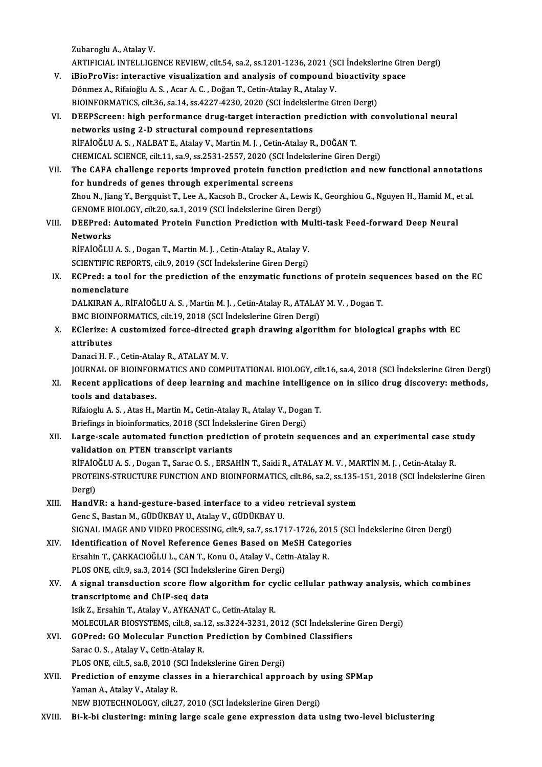ZubarogluA.,AtalayV.

ARTIFICIAL INTELLIGENCE REVIEW, cilt.54, sa.2, ss.1201-1236, 2021 (SCI İndekslerine Giren Dergi)

- Zubaroglu A., Atalay V.<br>ARTIFICIAL INTELLIGENCE REVIEW, cilt.54, sa.2, ss.1201-1236, 2021 (SCI Indekslerine Gire<br>V. iBioProVis: interactive visualization and analysis of compound bioactivity space<br>Dänmer A. Bifsieğlu A. S. ARTIFICIAL INTELLIGENCE REVIEW, cilt.54, sa.2, ss.1201-1236, 2021 (S<br>iBioProVis: interactive visualization and analysis of compound l<br>Dönmez A., Rifaioğlu A. S. , Acar A. C. , Doğan T., Cetin-Atalay R., Atalay V.<br>BIOINEODM iBioProVis: interactive visualization and analysis of compound bioactivity<br>Dönmez A., Rifaioğlu A. S. , Acar A. C. , Doğan T., Cetin-Atalay R., Atalay V.<br>BIOINFORMATICS, cilt.36, sa.14, ss.4227-4230, 2020 (SCI İndekslerine Dönmez A., Rifaioğlu A. S. , Acar A. C. , Doğan T., Cetin-Atalay R., Atalay V.<br>BIOINFORMATICS, cilt.36, sa.14, ss.4227-4230, 2020 (SCI İndekslerine Giren Dergi)<br>VI. DEEPScreen: high performance drug-target interaction pred
- BIOINFORMATICS, cilt.36, sa.14, ss.4227-4230, 2020 (SCI Indekslerine Giren Dergi)<br>DEEPScreen: high performance drug-target interaction prediction with co<br>networks using 2-D structural compound representations<br>RIFAIOĞLU A. DEEPScreen: high performance drug-target interaction prediction wi<br>networks using 2-D structural compound representations<br>RİFAİOĞLUA.S., NALBAT E., Atalay V., Martin M. J. , Cetin-Atalay R., DOĞAN T.<br>CHEMICAL SCIENCE silt CHEMICAL SCIENCE, cilt.11, sa.9, ss.2531-2557,2020 (SCI İndekslerineGirenDergi) RİFAİOĞLU A. S. , NALBAT E., Atalay V., Martin M. J. , Cetin-Atalay R., DOĞAN T.<br>CHEMICAL SCIENCE, cilt.11, sa.9, ss.2531-2557, 2020 (SCI İndekslerine Giren Dergi)<br>VII. The CAFA challenge reports improved protein function
- CHEMICAL SCIENCE, cilt.11, sa.9, ss.2531-2557, 2020 (SCI Inc<br>The CAFA challenge reports improved protein function<br>for hundreds of genes through experimental screens<br>They N. Jiang V. Persouist T. Lee A. Kesseb B. Creeker A. The CAFA challenge reports improved protein function prediction and new functional annotation<br>for hundreds of genes through experimental screens<br>Zhou N., Jiang Y., Bergquist T., Lee A., Kacsoh B., Crocker A., Lewis K., Geo for hundreds of genes through experimental screens<br>Zhou N., Jiang Y., Bergquist T., Lee A., Kacsoh B., Crocker A., Lewis K., Georghiou G., Nguyen H., Hamid M., et al.<br>GENOME BIOLOGY, cilt.20, sa.1, 2019 (SCI İndekslerine G Zhou N., Jiang Y., Bergquist T., Lee A., Kacsoh B., Crocker A., Lewis K., Georghiou G., Nguyen H., Hamid M., e<br>GENOME BIOLOGY, cilt.20, sa.1, 2019 (SCI İndekslerine Giren Dergi)<br>VIII. DEEPred: Automated Protein Function Pr

## **GENOME B<br>DEEPred:<br>Networks<br>PEAIOČLU** DEEPred: Automated Protein Function Prediction with M<sub>i</sub><br>Networks<br>RİFAİOĞLU A.S. , Dogan T., Martin M. J. , Cetin-Atalay R., Atalay V.<br>SCIENTIEIC PEPOPTS, silt 9, 2019 (SCI İndekslerine Ciren Dersi) Networks<br>RİFAİOĞLU A. S. , Dogan T., Martin M. J. , Cetin-Atalay R., Atalay V.

SCIENTIFIC REPORTS, cilt.9, 2019 (SCI İndekslerine Giren Dergi)

IX. ECPred: a tool for the prediction of the enzymatic functions of protein sequences based on the EC ECPred: a tool for the prediction of the enzymatic functions of protein seq<br>nomenclature<br>DALKIRAN A., RİFAİOĞLU A. S. , Martin M. J. , Cetin-Atalay R., ATALAY M. V. , Dogan T.<br>PMC PIOINEOPMATICS silt 10,2019 (SCL indeksler

nomenclature<br>DALKIRAN A., RİFAİOĞLU A. S. , Martin M. J. , Cetin-Atalay R., ATALAY<br>BMC BIOINFORMATICS, cilt.19, 2018 (SCI İndekslerine Giren Dergi)<br>EClerizeu A sustemized forse dirested sraph drawing alserii BMC BIOINFORMATICS, cilt.19, 2018 (SCI İndekslerine Giren Dergi)

## X. EClerize: A customized force-directed graph drawing algorithm for biological graphs with EC attributes <mark>attributes</mark><br>Danaci H. F. , Cetin-Atalay R., ATALAY M. V.<br>JOURNAL OF BIOINFORMATICS AND COMPUTATIONAL BIOLOGY, cilt.16, sa.4, 2018 (SCI İndekslerine Giren Dergi)<br>Posent applisations of deep learning and mashine intelligenc

Danaci H. F., Cetin-Atalay R., ATALAY M. V.

Danaci H. F. , Cetin-Atalay R., ATALAY M. V.<br>JOURNAL OF BIOINFORMATICS AND COMPUTATIONAL BIOLOGY, cilt.16, sa.4, 2018 (SCI İndekslerine Giren Dergi)<br>XI. Recent applications of deep learning and machine intelligence on in s **JOURNAL OF BIOINFOR<br>Recent applications<br>tools and databases.**<br>Pifoiogly A.S. Atos H XI. Recent applications of deep learning and machine intelligence on in silico drug discovery: methods,<br>tools and databases.<br>Rifaioglu A. S., Atas H., Martin M., Cetin-Atalay R., Atalay V., Dogan T.

tools and databases.<br>Rifaioglu A. S. , Atas H., Martin M., Cetin-Atalay R., Atalay V., Doga:<br>Briefings in bioinformatics, 2018 (SCI İndekslerine Giren Dergi)<br>Large scale autemated function prediction of pretain sca

## XII. Large-scale automated function prediction of protein sequences and an experimental case study<br>validation on PTEN transcript variants Briefings in bioinformatics, 2018 (SCI İndeks<br>Large-scale automated function predict<br>validation on PTEN transcript variants<br>PİEAİQČLILA S., DAGAR T. SARQQ S., ERSA Large-scale automated function prediction of protein sequences and an experimental case s<br>validation on PTEN transcript variants<br>RİFAİOĞLU A.S., Dogan T., Sarac O.S., ERSAHİN T., Saidi R., ATALAY M. V. , MARTİN M. J. , Cet

PROTEINS-STRUCTURE FUNCTION AND BIOINFORMATICS, cilt.86, sa.2, ss.135-151, 2018 (SCI İndekslerine Giren<br>Dergi) RİFAİO<br>PROTE<br>Dergi)<br>Hand<sup>u</sup> PROTEINS-STRUCTURE FUNCTION AND BIOINFORMATICS, cilt.86, sa.2, ss.135-<br>Dergi)<br>XIII. HandVR: a hand-gesture-based interface to a video retrieval system<br>Cone S. Bestan M. CÜDÜVRAY II. Atalov V. CÜDÜVRAY II.

- Dergi)<br>HandVR: a hand-gesture-based interface to a video<br>Genc S., Bastan M., GÜDÜKBAY U., Atalay V., GÜDÜKBAY U.<br>SICNAL IMACE AND VIDEO PROCESSING, silt 9, sa 7, sa 17. Genc S., Bastan M., GÜDÜKBAY U., Atalay V., GÜDÜKBAY U.<br>SIGNAL IMAGE AND VIDEO PROCESSING, cilt.9, sa.7, ss.1717-1726, 2015 (SCI İndekslerine Giren Dergi)
- XIV. Identification of Novel Reference Genes Based on MeSH Categories SIGNAL IMAGE AND VIDEO PROCESSING, cilt.9, sa.7, ss.1717-1726, 201<br>Identification of Novel Reference Genes Based on MeSH Categ<br>Ersahin T., ÇARKACIOĞLU L., CAN T., Konu O., Atalay V., Cetin-Atalay R.<br>BLOS ONE, silt 9, ss.2, Identification of Novel Reference Genes Based on M<br>Ersahin T., ÇARKACIOĞLU L., CAN T., Konu O., Atalay V., Cet<br>PLOS ONE, cilt.9, sa.3, 2014 (SCI İndekslerine Giren Dergi)<br>A signal transdustion ssara flaw alsonithm for svel
- Ersahin T., ÇARKACIOĞLU L., CAN T., Konu O., Atalay V., Cetin-Atalay R.<br>PLOS ONE, cilt.9, sa.3, 2014 (SCI İndekslerine Giren Dergi)<br>XV. A signal transduction score flow algorithm for cyclic cellular pathway analysis, w PLOS ONE, cilt.9, sa.3, 2014 (SCI İndek<br>A signal transduction score flow<br>transcriptome and ChIP-seq data<br>Jaik 7, Exobin T, Atalay V, AYKANAT A signal transduction score flow algorithm for cy<br>transcriptome and ChIP-seq data<br>Isik Z., Ersahin T., Atalay V., AYKANAT C., Cetin-Atalay R.<br>MOLECULAR PIOSVSTEMS si<sup>11.</sup>2, 82.12, 82.2224, 2221, 24 transcriptome and ChIP-seq data<br>Isik Z., Ersahin T., Atalay V., AYKANAT C., Cetin-Atalay R.<br>MOLECULAR BIOSYSTEMS, cilt.8, sa.12, ss.3224-3231, 2012 (SCI İndekslerine Giren Dergi)<br>COPred: CO Molecular Eunstian Predistion by

## Isik Z., Ersahin T., Atalay V., AYKANAT C., Cetin-Atalay R.<br>MOLECULAR BIOSYSTEMS, cilt.8, sa.12, ss.3224-3231, 2012 (SCI İndekslerine<br>XVI. GOPred: GO Molecular Function Prediction by Combined Classifiers<br>Sarac O. S. , Atal MOLECULAR BIOSYSTEMS, cilt.8, sa.1<br>GOPred: GO Molecular Function<br>Sarac O. S. , Atalay V., Cetin-Atalay R.<br>BLOS ONE silt 5, sa.8, 2010 (SCL inde GOPred: GO Molecular Function Prediction by Comb<br>Sarac O. S. , Atalay V., Cetin-Atalay R.<br>PLOS ONE, cilt.5, sa.8, 2010 (SCI İndekslerine Giren Dergi)<br>Prediction of engume classes in a bionarabical engu Sarac O. S. , Atalay V., Cetin-Atalay R.<br>PLOS ONE, cilt.5, sa.8, 2010 (SCI Indekslerine Giren Dergi)<br>XVII. Prediction of enzyme classes in a hierarchical approach by using SPMap<br>Xoman A. Atalay V. Atalay P.

PLOS ONE, cilt.5, sa.8, 2010 (9.<br>Prediction of enzyme clas<br>Yaman A., Atalay V., Atalay R.<br>NEW PIOTECHNOLOCY silt 2 Prediction of enzyme classes in a hierarchical approach by unity of the Vaman A., Atalay V., Atalay R.<br>NEW BIOTECHNOLOGY, cilt.27, 2010 (SCI İndekslerine Giren Dergi)<br>Bi k bi slustaning: mining large scale gane avpression Yaman A., Atalay V., Atalay R.<br>NEW BIOTECHNOLOGY, cilt.27, 2010 (SCI İndekslerine Giren Dergi)<br>XVIII. Bi-k-bi clustering: mining large scale gene expression data using two-level biclustering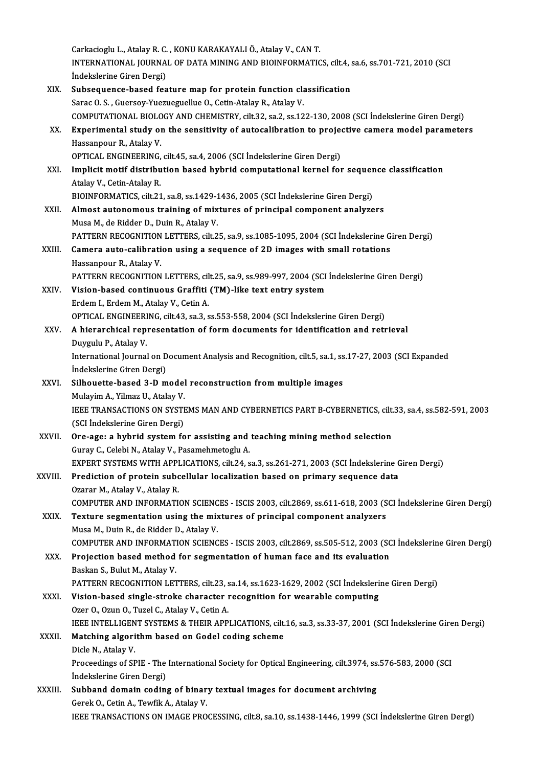Carkacioglu L., Atalay R. C. , KONU KARAKAYALI Ö., Atalay V., CAN T.<br>INTERNATIONAL JOURNAL OF DATA MINING AND RIQINEORMATIC INTERNATIONAL JOURNAL OF DATA MINING AND BIOINFORMATICS, cilt.4, sa.6, ss.701-721, 2010 (SCI Indekslerine Giren Dergi) Carkacioglu L., Atalay R. C.<br>INTERNATIONAL JOURNA<br>İndekslerine Giren Dergi)<br>Subsequence based foa INTERNATIONAL JOURNAL OF DATA MINING AND BIOINFORMATICS, cilt.4, s<br>
indekslerine Giren Dergi)<br>XIX. Subsequence-based feature map for protein function classification<br>
Sana O. S. Cuanasy Vuaryaryallye O. Cetin Atalay B. Atal İndekslerine Giren Dergi)<br>Subsequence-based feature map for protein function cla<br>Sarac O.S., Guersoy-Yuezueguellue O., Cetin-Atalay R., Atalay V.<br>COMPUTATIONAL PIOLOCY AND CHEMISTRY cilt 22, sa 2, ss 12 Sarac O. S. , Guersoy-Yuezueguellue O., Cetin-Atalay R., Atalay V.<br>COMPUTATIONAL BIOLOGY AND CHEMISTRY, cilt.32, sa.2, ss.122-130, 2008 (SCI İndekslerine Giren Dergi) Sarac O. S. , Guersoy-Yuezueguellue O., Cetin-Atalay R., Atalay V.<br>COMPUTATIONAL BIOLOGY AND CHEMISTRY, cilt.32, sa.2, ss.122-130, 2008 (SCI Indekslerine Giren Dergi)<br>XX. Experimental study on the sensitivity of autocalibr COMPUTATIONAL BIOLO<br>Experimental study of<br>Hassanpour R., Atalay V.<br>OPTICAL ENCINEEPINC Experimental study on the sensitivity of autocalibration to projectors.<br>Hassanpour R., Atalay V.<br>OPTICAL ENGINEERING, cilt.45, sa.4, 2006 (SCI İndekslerine Giren Dergi)<br>Implicit motif distribution based bubrid semputationa Hassanpour R., Atalay V.<br>OPTICAL ENGINEERING, cilt.45, sa.4, 2006 (SCI İndekslerine Giren Dergi)<br>XXI. Implicit motif distribution based hybrid computational kernel for sequence classification<br>Atalay V. Cetin Atalay P. OPTICAL ENGINEERING,<br>Implicit motif distribu<br>Atalay V., Cetin-Atalay R.<br>PLOINEOPMATICS silt 21 Implicit motif distribution based hybrid computational kernel for sequer<br>Atalay V., Cetin-Atalay R.<br>BIOINFORMATICS, cilt.21, sa.8, ss.1429-1436, 2005 (SCI İndekslerine Giren Dergi)<br>Almost autonomous training of mixtures of Atalay V., Cetin-Atalay R.<br>BIOINFORMATICS, cilt.21, sa.8, ss.1429-1436, 2005 (SCI İndekslerine Giren Dergi)<br>XXII. Almost autonomous training of mixtures of principal component analyzers Musa M., de Ridder D., Duin R., Atalay V. Almost autonomous training of mixtures of principal component analyzers<br>Musa M., de Ridder D., Duin R., Atalay V.<br>PATTERN RECOGNITION LETTERS, cilt.25, sa.9, ss.1085-1095, 2004 (SCI İndekslerine Giren Dergi)<br>Camera auta ca Musa M., de Ridder D., Duin R., Atalay V.<br>PATTERN RECOGNITION LETTERS, cilt.25, sa.9, ss.1085-1095, 2004 (SCI İndekslerine G<br>XXIII. Camera auto-calibration using a sequence of 2D images with small rotations<br>Hassennour P. A PATTERN RECOGNITION<br>Camera auto-calibrati<br>Hassanpour R., Atalay V.<br>PATTEPN PECOCNITION Camera auto-calibration using a sequence of 2D images with small rotations<br>Hassanpour R., Atalay V.<br>PATTERN RECOGNITION LETTERS, cilt.25, sa.9, ss.989-997, 2004 (SCI İndekslerine Giren Dergi) Hassanpour R., Atalay V.<br>PATTERN RECOGNITION LETTERS, cilt.25, sa.9, ss.989-997, 2004 (SCI<br>XXIV. Vision-based continuous Graffiti (TM)-like text entry system<br>Frdem J. Erdem M. Ataley V. Cetin A PATTERN RECOGNITION LETTERS, cil<br>Vision-based continuous Graffiti<br>Erdem I., Erdem M., Atalay V., Cetin A.<br>OPTICAL ENCINEERING silt 42, 22, 2 Vision-based continuous Graffiti (TM)-like text entry system<br>Erdem I., Erdem M., Atalay V., Cetin A.<br>OPTICAL ENGINEERING, cilt.43, sa.3, ss.553-558, 2004 (SCI İndekslerine Giren Dergi)<br>A hierarchisal representation of form Erdem I., Erdem M., Atalay V., Cetin A.<br>OPTICAL ENGINEERING, cilt.43, sa.3, ss.553-558, 2004 (SCI Indekslerine Giren Dergi)<br>XXV. A hierarchical representation of form documents for identification and retrieval OPTICAL ENGINEERI<br>A hierarchical rep<br>Duygulu P., Atalay V.<br>International Journal A hierarchical representation of form documents for identification and retrieval<br>Duygulu P., Atalay V.<br>International Journal on Document Analysis and Recognition, cilt.5, sa.1, ss.17-27, 2003 (SCI Expanded<br>Indekslerine Cir Duygulu P., Atalay V.<br>International Journal on D<br>İndekslerine Giren Dergi)<br>Silhouette based 3 D m International Journal on Document Analysis and Recognition, cilt.5, sa.1, ss<br>
indekslerine Giren Dergi)<br>XXVI. Silhouette-based 3-D model reconstruction from multiple images<br>
Mulayim A Vilmaz II Atalay V. İndekslerine Giren Dergi)<br>Silhouette-based 3-D model<br>Mulayim A., Yilmaz U., Atalay V.<br>JEEE TRANSACTIONS ON SYSTE Silhouette-based 3-D model reconstruction from multiple images<br>Mulayim A., Yilmaz U., Atalay V.<br>IEEE TRANSACTIONS ON SYSTEMS MAN AND CYBERNETICS PART B-CYBERNETICS, cilt.33, sa.4, ss.582-591, 2003<br>(SCL Indekslarine Ciren D Mulayim A., Yilmaz U., Atalay V.<br>IEEE TRANSACTIONS ON SYSTI<br>(SCI İndekslerine Giren Dergi)<br>Ora 2521 a bubrid avatam fa IEEE TRANSACTIONS ON SYSTEMS MAN AND CYBERNETICS PART B-CYBERNETICS, cilt.<br>(SCI Indekslerine Giren Dergi)<br>XXVII. Ore-age: a hybrid system for assisting and teaching mining method selection<br> $C_{\text{WRW}} C_{\text{S}}$  Colobi N. Atala (SCI İndekslerine Giren Dergi)<br>Ore-age: a hybrid system for assisting and<br>Guray C., Celebi N., Atalay V., Pasamehmetoglu A.<br>EXPERT SYSTEMS WITH APPLICATIONS silt 24 s Ore-age: a hybrid system for assisting and teaching mining method selection<br>Guray C., Celebi N., Atalay V., Pasamehmetoglu A.<br>EXPERT SYSTEMS WITH APPLICATIONS, cilt.24, sa.3, ss.261-271, 2003 (SCI İndekslerine Giren Dergi) Guray C., Celebi N., Atalay V., Pasamehmetoglu A.<br>EXPERT SYSTEMS WITH APPLICATIONS, cilt.24, sa.3, ss.261-271, 2003 (SCI İndekslerine (<br>XXVIII. Prediction of protein subcellular localization based on primary sequence data<br> EXPERT SYSTEMS WITH APPI<br>Prediction of protein subc<br>Ozarar M., Atalay V., Atalay R.<br>COMBUTER AND INFORMATI Prediction of protein subcellular localization based on primary sequence data<br>Ozarar M., Atalay V., Atalay R.<br>COMPUTER AND INFORMATION SCIENCES - ISCIS 2003, cilt.2869, ss.611-618, 2003 (SCI İndekslerine Giren Dergi)<br>Textu Ozarar M., Atalay V., Atalay R.<br>COMPUTER AND INFORMATION SCIENCES - ISCIS 2003, cilt.2869, ss.611-618, 2003 (S<br>XXIX. Texture segmentation using the mixtures of principal component analyzers<br>Muse M. Duin B. de Bidder D. Ata COMPUTER AND INFORMATION SCIENC<br>Texture segmentation using the mix<br>Musa M., Duin R., de Ridder D., Atalay V.<br>COMBUTER AND INFORMATION SCIENC Texture segmentation using the mixtures of principal component analyzers<br>Musa M., Duin R., de Ridder D., Atalay V.<br>COMPUTER AND INFORMATION SCIENCES - ISCIS 2003, cilt.2869, ss.505-512, 2003 (SCI İndekslerine Giren Dergi)<br> Musa M., Duin R., de Ridder D., Atalay V.<br>COMPUTER AND INFORMATION SCIENCES - ISCIS 2003, cilt.2869, ss.505-512, 2003 (SC<br>XXX. Projection based method for segmentation of human face and its evaluation<br>Packan S. Bulut M. At COMPUTER AND INFORMAT<br>Projection based method<br>Baskan S., Bulut M., Atalay V.<br>BATTEPN PECOCNITION LET Projection based method for segmentation of human face and its evaluation<br>Baskan S., Bulut M., Atalay V.<br>PATTERN RECOGNITION LETTERS, cilt.23, sa.14, ss.1623-1629, 2002 (SCI İndekslerine Giren Dergi)<br>Vision based single st Baskan S., Bulut M., Atalay V.<br>PATTERN RECOGNITION LETTERS, cilt.23, sa.14, ss.1623-1629, 2002 (SCI İndeksleri<br>XXXI. Vision-based single-stroke character recognition for wearable computing<br>Ozer O., Ozun O., Tuzel C., Atala PATTERN RECOGNITION LETTERS, cilt.23, s<br>Vision-based single-stroke character 1<br>Ozer O., Ozun O., Tuzel C., Atalay V., Cetin A.<br>JEEE INTELLICENT SYSTEMS & THEID APP. Vision-based single-stroke character recognition for wearable computing<br>Ozer O., Ozun O., Tuzel C., Atalay V., Cetin A.<br>IEEE INTELLIGENT SYSTEMS & THEIR APPLICATIONS, cilt.16, sa.3, ss.33-37, 2001 (SCI İndekslerine Giren D XXXII. Matching algorithm based on Godel coding scheme<br>Dicle N., Atalay V. **IEEE INTELLIGEN<br>Matching algori<br>Dicle N., Atalay V.**<br>Proceedings of SE Matching algorithm based on Godel coding scheme<br>Dicle N., Atalay V.<br>Proceedings of SPIE - The International Society for Optical Engineering, cilt.3974, ss.576-583, 2000 (SCI<br>Indekslatine Ciren Dergi) Dicle N., Atalay V.<br>Proceedings of SPIE - The<br>İndekslerine Giren Dergi)<br>Subband damain sadin Proceedings of SPIE - The International Society for Optical Engineering, cilt.3974, ss.<br>
indekslerine Giren Dergi)<br>
XXXIII. Subband domain coding of binary textual images for document archiving<br>
Corek O. Cotin A. Toutik A. Indekslerine Giren Dergi)<br>Subband domain coding of binary textual images for document archiving<br>Gerek O., Cetin A., Tewfik A., Atalay V. IEEE TRANSACTIONS ON IMAGE PROCESSING, cilt.8, sa.10, ss.1438-1446, 1999 (SCI İndekslerine Giren Dergi)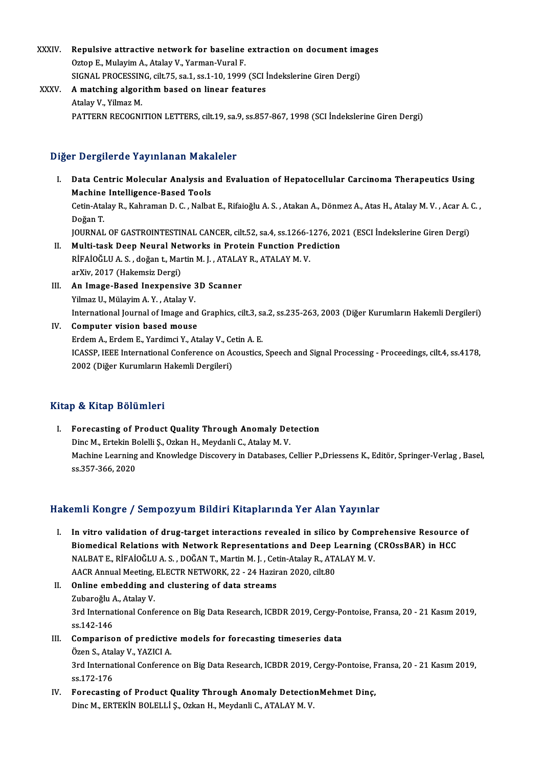- XXXIV. Repulsive attractive network for baseline extraction on document images Repulsive attractive network for baseline<br>Oztop E., Mulayim A., Atalay V., Yarman-Vural F.<br>SIGNAL PROGESSING silt 75, 201, 201, 10, 1000 Repulsive attractive network for baseline extraction on document ima<br>Oztop E., Mulayim A., Atalay V., Yarman-Vural F.<br>SIGNAL PROCESSING, cilt.75, sa.1, ss.1-10, 1999 (SCI İndekslerine Giren Dergi)<br>A. matebing algonithm bas Oztop E., Mulayim A., Atalay V., Yarman-Vural F.<br>SIGNAL PROCESSING, cilt.75, sa.1, ss.1-10, 1999 (SCI i<br>XXXV. A matching algorithm based on linear features SIGNAL PROCESSIN<br>A matching algori<br>Atalay V., Yilmaz M.<br>PATTEPN PECOCNI
	- Atalay V., Yilmaz M.<br>PATTERN RECOGNITION LETTERS, cilt.19, sa.9, ss.857-867, 1998 (SCI İndekslerine Giren Dergi)

## Diğer Dergilerde Yayınlanan Makaleler

- Iger Dergilerde Yayınlanan Makaleler<br>I. Data Centric Molecular Analysis and Evaluation of Hepatocellular Carcinoma Therapeutics Using<br>Mashina Intelligance Based Tools Machine Intel intelligence-Based Tools<br>Machine Intelligence-Based Tools<br>Cetin Atalay B. Kahraman D. C. Nalba Data Centric Molecular Analysis and Evaluation of Hepatocellular Carcinoma Therapeutics Using<br>Machine Intelligence-Based Tools<br>Cetin-Atalay R., Kahraman D. C. , Nalbat E., Rifaioğlu A. S. , Atakan A., Dönmez A., Atas H., A M<mark>achine</mark><br>Cetin-Ata<br>Doğan T.<br>JOUPNAL Cetin-Atalay R., Kahraman D. C. , Nalbat E., Rifaioğlu A. S. , Atakan A., Dönmez A., Atas H., Atalay M. V. , Acar A.<br>Doğan T.<br>JOURNAL OF GASTROINTESTINAL CANCER, cilt.52, sa.4, ss.1266-1276, 2021 (ESCI İndekslerine Giren D Doğan T.<br>JOURNAL OF GASTROINTESTINAL CANCER, cilt.52, sa.4, ss.1266-1276, 2021 (ESCI İndekslerine Giren Dergi)<br>II. Multi-task Deep Neural Networks in Protein Function Prediction JOURNAL OF GASTROINTESTINAL CANCER, cilt.52, sa.4, ss.1266-1<br>Multi-task Deep Neural Networks in Protein Function Pre<br>RİFAİOĞLU A. S. , doğan t., Martin M. J. , ATALAY R., ATALAY M. V.<br>ar<sup>y</sup>ii: 2017 (Hakamair Dargi) Multi-task Deep Neural Net<br>RİFAİOĞLU A. S. , doğan t., Mar<br>arXiv, 2017 (Hakemsiz Dergi)<br>An Imaga Baaad Ineunanai RİFAİOĞLU A. S., doğan t., Martin M. J., ATALA<br>arXiv, 2017 (Hakemsiz Dergi)<br>III. An Image-Based Inexpensive 3D Scanner<br>Vilmez II. Mülevim A. Y., Atalev V.
- arXiv, 2017 (Hakemsiz Dergi)<br>III. **An Image-Based Inexpensive 3D Scanner**<br>Yilmaz U., Mülayim A. Y. , Atalay V. International Journal of Image and Graphics, cilt.3, sa.2, ss.235-263, 2003 (Diğer Kurumların Hakemli Dergileri)
- IV. Computer vision based mouse ErdemA.,ErdemE.,YardimciY.,AtalayV.,CetinA.E. Computer vision based mouse<br>Erdem A., Erdem E., Yardimci Y., Atalay V., Cetin A. E.<br>ICASSP, IEEE International Conference on Acoustics, Speech and Signal Processing - Proceedings, cilt.4, ss.4178,<br>2002 (Dižer Kurumların Ha Erdem A., Erdem E., Yardimci Y., Atalay V., Ce<br>ICASSP, IEEE International Conference on Ad<br>2002 (Diğer Kurumların Hakemli Dergileri) 2002 (Diğer Kurumların Hakemli Dergileri)<br>Kitap & Kitap Bölümleri

I. Forecasting of Product Quality Through Anomaly Detection p & Hitap Boldmiori<br>Forecasting of Product Quality Through Anomaly De<br>Dinc M., Ertekin Bolelli Ş., Ozkan H., Meydanli C., Atalay M. V.<br>Mechine Learning and Knowledge Disseyery in Detabases 6 Machine Learning and Knowledge Discovery in Databases, Cellier P.,Driessens K., Editör, Springer-Verlag , Basel, ss.357-366, 2020 Dinc M., Ertekin B<br>Machine Learning<br>ss.357-366, 2020

## Hakemli Kongre / Sempozyum Bildiri Kitaplarında Yer Alan Yayınlar

- akemli Kongre / Sempozyum Bildiri Kitaplarında Yer Alan Yayınlar<br>I. In vitro validation of drug-target interactions revealed in silico by Comprehensive Resource of<br>Piemedical Pelations with Network Penresontations and Deep Biomedical Relation of drug-target interactions revealed in silico by Comprehensive Resource<br>Biomedical Relations with Network Representations and Deep Learning (CROssBAR) in HCC<br>NALRATE RIEAIOČULA S. DOČANT Martin M.J. Co In vitro validation of drug-target interactions revealed in silico by Compinion and Deep Learning<br>Biomedical Relations with Network Representations and Deep Learning (NALBAT E., RİFAİOĞLU A. S. , DOĞAN T., Martin M. J. , C Biomedical Relations with Network Representations and Deep L<br>NALBAT E., RİFAİOĞLU A. S. , DOĞAN T., Martin M. J. , Cetin-Atalay R., ATA<br>AACR Annual Meeting, ELECTR NETWORK, 22 - 24 Haziran 2020, cilt.80<br>Online embedding an NALBAT E., RİFAİOĞLU A. S. , DOĞAN T., Martin M. J. , Cet<br>AACR Annual Meeting, ELECTR NETWORK, 22 - 24 Hazir<br>II. Online embedding and clustering of data streams<br>Zubaroğlu A. Atalov V.
- AACR Annual Meeting,<br>**Online embedding a**<br>Zubaroğlu A., Atalay V.<br><sup>2nd</sup> International Confe 0nline embedding and clustering of data streams<br>Zubaroğlu A., Atalay V.<br>3rd International Conference on Big Data Research, ICBDR 2019, Cergy-Pontoise, Fransa, 20 - 21 Kasım 2019,<br>88.142.146 Zubaroğlu<br>3rd Interna<br>ss.142-146<br>Compariac 3rd International Conference on Big Data Research, ICBDR 2019, Cergy-Po<br>ss.142-146<br>III. Comparison of predictive models for forecasting timeseries data<br>Özen S. Atalau V. XAZICLA
- ss.142-146<br>Comparison of predictive<br>Özen S., Atalay V., YAZICI A. 3rd III. Comparison of predictive models for forecasting timeseries data<br>Özen S., Atalay V., YAZICI A.<br>3rd International Conference on Big Data Research, ICBDR 2019, Cergy-Pontoise, Fransa, 20 - 21 Kasım 2019,<br>ss.172-176 Özen S., Atal<br>3rd Interna<br>ss.172-176<br>Eorosastin 3rd International Conference on Big Data Research, ICBDR 2019, Cergy-Pontoise, F<br>ss.172-176<br>IV. Forecasting of Product Quality Through Anomaly DetectionMehmet Dinç,<br>Ding M. EPTEVIN POLELLIS, Orkan H. Moydanli G. ATALAY M.
- ss.172-176<br>Forecasting of Product Quality Through Anomaly Detectio<br>Dinc M., ERTEKİN BOLELLİ Ş., Ozkan H., Meydanli C., ATALAY M. V.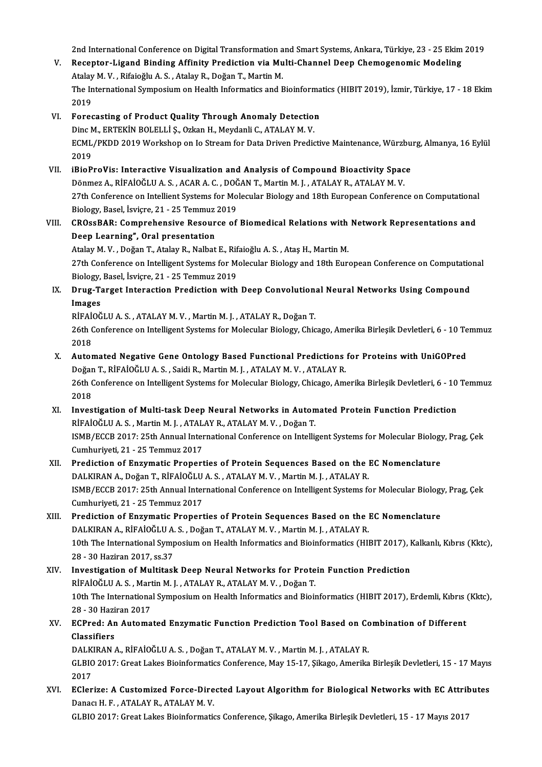2nd International Conference on Digital Transformation and Smart Systems, Ankara, Türkiye, 23 - 25 Ekim 2019<br>Recenter Lisand Binding Affinity Brediction via Multi Channel Deen Chamaganomia Modeling

- 2nd International Conference on Digital Transformation and Smart Systems, Ankara, Türkiye, 23 25 Ekim<br>V. Receptor-Ligand Binding Affinity Prediction via Multi-Channel Deep Chemogenomic Modeling<br>Atalay M. V. Bifaiağlu A. 2nd International Conference on Digital Transformation a<br>Receptor-Ligand Binding Affinity Prediction via Mu<br>Atalay M. V. , Rifaioğlu A. S. , Atalay R., Doğan T., Martin M.<br>The International Symnesium on Heelth Informatics Receptor-Ligand Binding Affinity Prediction via Multi-Channel Deep Chemogenomic Modeling<br>Atalay M. V. , Rifaioğlu A. S. , Atalay R., Doğan T., Martin M.<br>The International Symposium on Health Informatics and Bioinformatics Atalay<br>The In<br>2019<br>Eoras VI. Forecasting of Product Quality Through Anomaly Detection
- 2019<br>Forecasting of Product Quality Through Anomaly Detection<br>Dinc M., ERTEKİN BOLELLİ Ş., Ozkan H., Meydanli C., ATALAY M. V.<br>FCML (PKDD 2019 Werkshop an Jo Stream for Data Driven Predic ECML/PKDD 2019 Workshop on Io Stream for Data Driven Predictive Maintenance, Würzburg, Almanya, 16 Eylül<br>2019 Dinc M<br>ECML<br>2019<br>iPioP ECML/PKDD 2019 Workshop on Io Stream for Data Driven Predictive Maintenance, Würzbu<br>2019<br>VII. iBioProVis: Interactive Visualization and Analysis of Compound Bioactivity Space<br>Dönmer A. BinAlQČLUA S. ACARA C. DOČAN T. Marti
- 2019<br>iBioProVis: Interactive Visualization and Analysis of Compound Bioactivity Spac<br>Dönmez A., RİFAİOĞLU A. S. , ACAR A. C. , DOĞAN T., Martin M. J. , ATALAY R., ATALAY M. V.<br>27th Conference en Intellient Systems for Mole 27th Conference on Intellient Systems for Molecular Biology and 18th European Conference on Computational<br>Biology, Basel, İsviçre, 21 - 25 Temmuz 2019 Dönmez A., RİFAİOĞLU A. S., ACAR A. C., DOĞAN T., Martin M. J., ATALAY R., ATALAY M. V. 27th Conference on Intellient Systems for Molecular Biology and 18th European Conference on Computational<br>Biology, Basel, İsviçre, 21 - 25 Temmuz 2019<br>VIII. CROssBAR: Comprehensive Resource of Biomedical Relations with Net

# Biology, Basel, İsviçre, 21 - 25 Temmuz<br>CROssBAR: Comprehensive Resour<br>Deep Learning", Oral presentation<br>Atalay M. V., Doğan T. Atalay B. Nalbat CROssBAR: Comprehensive Resource of Biomedical Relations with<br>Deep Learning", Oral presentation<br>Atalay M. V. , Doğan T., Atalay R., Nalbat E., Rifaioğlu A. S. , Ataş H., Martin M.<br>27th Conference on Intelligent Systems for

Deep Learning", Oral presentation<br>Atalay M. V. , Doğan T., Atalay R., Nalbat E., Rifaioğlu A. S. , Ataş H., Martin M.<br>27th Conference on Intelligent Systems for Molecular Biology and 18th European Conference on Computation Atalay M. V. , Doğan T., Atalay R., Nalbat E., Rif<br>27th Conference on Intelligent Systems for M.<br>Biology, Basel, İsviçre, 21 - 25 Temmuz 2019<br>Paug Tonget Internation Prediction with 27th Conference on Intelligent Systems for Molecular Biology and 18th European Conference on Computatio<br>Biology, Basel, İsviçre, 21 - 25 Temmuz 2019<br>IX. Drug-Target Interaction Prediction with Deep Convolutional Neural Net

Biology,<br>Drug-Ta<br>Images<br>Piraioč Drug-Target Interaction Prediction with Deep Convolution<br>Images<br>RİFAİOĞLU A. S. , ATALAY M. V. , Martin M. J. , ATALAY R., Doğan T.<br>26th Conference en Intelligent Systems for Melecular Biology, Chia

Images<br>RİFAİOĞLU A. S. , ATALAY M. V. , Martin M. J. , ATALAY R., Doğan T.<br>26th Conference on Intelligent Systems for Molecular Biology, Chicago, Amerika Birleşik Devletleri, 6 - 10 Temmuz<br>2018 RİFAİ<br>26th (<br>2018 26th Conference on Intelligent Systems for Molecular Biology, Chicago, Amerika Birleşik Devletleri, 6 - 10 Te<br>2018<br>X. Automated Negative Gene Ontology Based Functional Predictions for Proteins with UniGOPred<br>Dožen T. BigAt

- 2018<br><mark>Automated Negative Gene Ontology Based Functional Predictions</mark><br>Doğan T., RİFAİOĞLU A. S. , Saidi R., Martin M. J. , ATALAY M. V. , ATALAY R.<br>26th Conference en Intelligent Systems for Molegylar Biology Chicago, Am 26th Conference on Intelligent Systems for Molecular Biology, Chicago, Amerika Birleşik Devletleri, 6 - 10 Temmuz<br>2018 Doğan T., RİFAİOĞLU A. S., Saidi R., Martin M. J., ATALAY M. V., ATALAY R.
- XI. Investigation of Multi-task Deep Neural Networks in Automated Protein Function Prediction 2018<br>Investigation of Multi-task Deep Neural Networks in Auton<br>RİFAİOĞLUA.S.,MartinM.J.,ATALAYR.,ATALAYM.V.,Doğan T.<br>ISMP/ECCR 2017;25th Annual International Conference en Intelli ISMB/ECCB 2017: 25th Annual International Conference on Intelligent Systems for Molecular Biology, Prag, Çek<br>Cumhuriyeti, 21 - 25 Temmuz 2017 RİFAİOĞLU A. S. , Martin M. J. , ATAL<br>ISMB/ECCB 2017: 25th Annual Inter<br>Cumhuriyeti, 21 - 25 Temmuz 2017<br>Predistion of Engumetis Proport ISMB/ECCB 2017: 25th Annual International Conference on Intelligent Systems for Molecular Biology<br>Cumhuriyeti, 21 - 25 Temmuz 2017<br>XII. Prediction of Enzymatic Properties of Protein Sequences Based on the EC Nomenclature<br>D
- Cumhuriyeti, 21 25 Temmuz 2017<br>Prediction of Enzymatic Properties of Protein Sequences Based on the l<br>DALKIRAN A., Doğan T., RİFAİOĞLU A. S. , ATALAY M. V. , Martin M. J. , ATALAY R.<br>ISMP (ECCR 2017, 25th Annual Internat Prediction of Enzymatic Properties of Protein Sequences Based on the EC Nomenclature<br>DALKIRAN A., Doğan T., RİFAİOĞLU A. S. , ATALAY M. V. , Martin M. J. , ATALAY R.<br>ISMB/ECCB 2017: 25th Annual International Conference on DALKIRAN A., Doğan T., RİFAİOĞLU A. S. , ATALAY M. V. , Martin M. J. , ATALAY R.<br>ISMB/ECCB 2017: 25th Annual International Conference on Intelligent Systems for Molecular Biology, Prag, Çek<br>Cumhuriyeti, 21 - 25 Temmuz 2017
- XIII. Prediction of Enzymatic Properties of Protein Sequences Based on the EC Nomenclature Cumhuriyeti, 21 - 25 Temmuz 2017<br>Prediction of Enzymatic Properties of Protein Sequences Based on the l<br>DALKIRAN A., RİFAİOĞLU A. S. , Doğan T., ATALAY M. V. , Martin M. J. , ATALAY R.<br>10th The International Symnesium en H Prediction of Enzymatic Properties of Protein Sequences Based on the EC Nomenclature<br>DALKIRAN A., RİFAİOĞLU A. S. , Doğan T., ATALAY M. V. , Martin M. J. , ATALAY R.<br>10th The International Symposium on Health Informatics a DALKIRAN A., RİFAİOĞLU A.<br>10th The International Symp<br>28 - 30 Haziran 2017, ss.37<br>Investigation of Multitesl 10th The International Symposium on Health Informatics and Bioinformatics (HIBIT 2017), I<br>28 - 30 Haziran 2017, ss.37<br>XIV. Investigation of Multitask Deep Neural Networks for Protein Function Prediction<br>PIEAIOČLUAS Martin
- 28 30 Haziran 2017, ss.37<br>XIV. Investigation of Multitask Deep Neural Networks for Protein Function Prediction<br>RİFAİOĞLUA.S., Martin M. J., ATALAY R., ATALAY M. V., Doğan T. Investigation of Multitask Deep Neural Networks for Protein Function Prediction<br>RİFAİOĞLU A. S. , Martin M. J. , ATALAY R., ATALAY M. V. , Doğan T.<br>10th The International Symposium on Health Informatics and Bioinformatics RİFAİOĞLU A. S. , Mart<br>10th The Internationa<br>28 - 30 Haziran 2017<br>ECProd: An Automa 10th The International Symposium on Health Informatics and Bioinformatics (HIBIT 2017), Erdemli, Kıbrıs (28 - 30 Haziran 2017)<br>XV. ECPred: An Automated Enzymatic Function Prediction Tool Based on Combination of Different<br>C
- 28 30 Haziran 2017<br>XV. ECPred: An Automated Enzymatic Function Prediction Tool Based on Combination of Different<br>Classifiers ECPred: An Automated Enzymatic Function Prediction Tool Based on Co<br>Classifiers<br>DALKIRAN A., RİFAİOĞLU A. S. , Doğan T., ATALAY M. V. , Martin M. J. , ATALAY R.<br>CLEIO 2017: Creet Lekes Bioinformatics Conference May 15, 17, Classifiers<br>DALKIRAN A., RİFAİOĞLU A. S. , Doğan T., ATALAY M. V. , Martin M. J. , ATALAY R.<br>GLBIO 2017: Great Lakes Bioinformatics Conference, May 15-17, Şikago, Amerika Birleşik Devletleri, 15 - 17 Mayıs DALK<br>GLBIC<br>2017<br>ECler GLBIO 2017: Great Lakes Bioinformatics Conference, May 15-17, Şikago, Amerika Birleşik Devletleri, 15 - 17 Mayıs<br>2017<br>XVI. EClerize: A Customized Force-Directed Layout Algorithm for Biological Networks with EC Attributes
- 2017<br>EClerize: A Customized Force-Directed Layout Algorithm for Biological Networks with EC Attributes<br>Danacı H. F. , ATALAY R., ATALAY M. V. GLBIO 2017: Great Lakes Bioinformatics Conference, Şikago, Amerika Birleşik Devletleri, 15 - 17 Mayıs 2017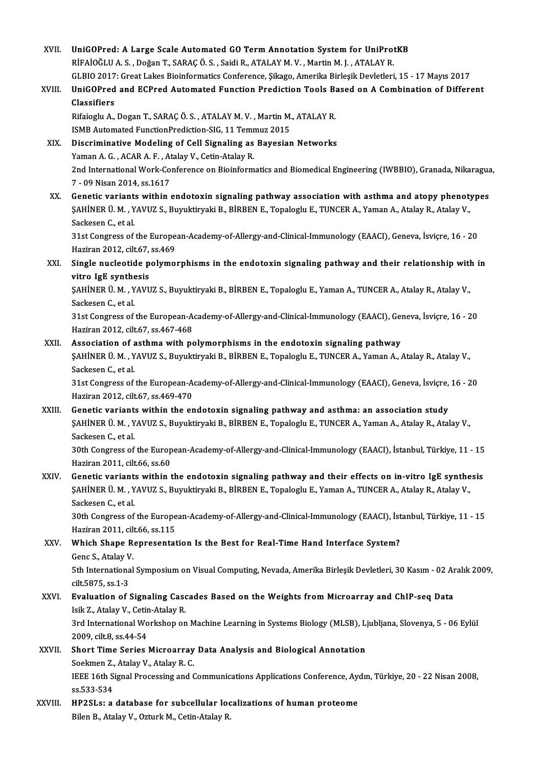XVII. UniGOPred: A Large Scale Automated GO Term Annotation System for UniProtKB<br>REAIOČUJA S. Dožen T. SARAC Ö.S. Said: B. ATALAVM V. Mortin M.J. ATALAV B. UniGOPred: A Large Scale Automated GO Term Annotation System for UniProt<br>RİFAİOĞLUA.S. , Doğan T., SARAÇ Ö.S. , Saidi R., ATALAY M. V. , Martin M. J. , ATALAY R.<br>CLBIO 2017: Creet Lakes Bisinformatiss Conference, Sikase, A RİFAİOĞLU A. S. , Doğan T., SARAÇ Ö. S. , Saidi R., ATALAY M. V. , Martin M. J. , ATALAY R.<br>GLBIO 2017: Great Lakes Bioinformatics Conference, Sikago, Amerika Birleşik Devletleri, 15 - 17 Mayıs 2017 RİFAİOĞLU A. S. , Doğan T., SARAÇ Ö. S. , Saidi R., ATALAY M. V. , Martin M. J. , ATALAY R.<br>GLBIO 2017: Great Lakes Bioinformatics Conference, Şikago, Amerika Birleşik Devletleri, 15 - 17 Mayıs 2017<br>XVIII. UniGOPred and EC GLBIO 2017<br>UniGOPred<br>Classifiers<br><sup>Rifoiodu A</sup> UniGOPred and ECPred Automated Function Prediction Tools B:<br>Classifiers<br>Rifaioglu A., Dogan T., SARAÇ Ö.S. , ATALAY M. V. , Martin M., ATALAY R.<br>ISMB Automated EunctionPrediction SIC 11 Temmur 2015 Classifiers<br>Rifaioglu A., Dogan T., SARAÇ Ö. S. , ATALAY M. V. , Martin M.<br>ISMB Automated FunctionPrediction-SIG, 11 Temmuz 2015<br>Discriminative Modeling of Cell Signeling as Bayosiar Rifaioglu A., Dogan T., SARAÇ Ö. S., ATALAY M. V., Martin M., ATALAY R.<br>ISMB Automated FunctionPrediction-SIG, 11 Temmuz 2015<br>XIX. Discriminative Modeling of Cell Signaling as Bayesian Networks<br>Vaman A. G. ACAB A. E. Atala ISMB Automated FunctionPrediction-SIG, 11 Temmuz 2015<br>Discriminative Modeling of Cell Signaling as Bayesian Networks<br>Yaman A. G. , ACAR A. F. , Atalay V., Cetin-Atalay R. Discriminative Modeling of Cell Signaling as Bayesian Networks<br>Yaman A. G. , ACAR A. F. , Atalay V., Cetin-Atalay R.<br>2nd International Work-Conference on Bioinformatics and Biomedical Engineering (IWBBIO), Granada, Nikarag Yaman A. G. , ACAR A. F. , At<br>2nd International Work-Co<br>7 - 09 Nisan 2014, ss.1617<br>Conetie vertients within 2nd International Work-Conference on Bioinformatics and Biomedical Engineering (IWBBIO), Granada, Nikaragua<br>7 - 09 Nisan 2014, ss.1617<br>XX. Genetic variants within endotoxin signaling pathway association with asthma and ato 7 - 09 Nisan 2014, ss.1617<br>Genetic variants within endotoxin signaling pathway association with asthma and atopy phenot:<br>ŞAHİNER Ü. M. , YAVUZ S., Buyuktiryaki B., BİRBEN E., Topaloglu E., TUNCER A., Yaman A., Atalay R., A **Genetic variant:<br>ŞAHİNER Ü. M. , Y<br>Sackesen C., et al.**<br>21st Congress of ŞAHİNER Ü. M. , YAVUZ S., Buyuktiryaki B., BİRBEN E., Topaloglu E., TUNCER A., Yaman A., Atalay R., Atalay V.,<br>Sackesen C., et al.<br>31st Congress of the European-Academy-of-Allergy-and-Clinical-Immunology (EAACI), Geneva, İ Sackesen C., et al.<br>31st Congress of the Europe:<br>Haziran 2012, cilt.67, ss.469<br>Single nucleotide nelume: 31st Congress of the European-Academy-of-Allergy-and-Clinical-Immunology (EAACI), Geneva, İsviçre, 16 - 20<br>Haziran 2012, cilt.67, ss.469<br>XXI. Single nucleotide polymorphisms in the endotoxin signaling pathway and their rel Haziran 2012, cilt.67,<br>Single nucleotide p<br>vitro IgE synthesis<br>SAHINED Ü.M., VAVU Single nucleotide polymorphisms in the endotoxin signaling pathway and their relationship with<br>vitro IgE synthesis<br>ŞAHİNER Ü. M. , YAVUZ S., Buyuktiryaki B., BİRBEN E., Topaloglu E., Yaman A., TUNCER A., Atalay R., Atalay vitro IgE synthe<br>ŞAHİNER Ü. M. , Y<br>Sackesen C., et al.<br>21et Congress of \$AHİNER Ü. M. , YAVUZ S., Buyuktiryaki B., BİRBEN E., Topaloglu E., Yaman A., TUNCER A., Atalay R., Atalay V.,<br>Sackesen C., et al.<br>31st Congress of the European-Academy-of-Allergy-and-Clinical-Immunology (EAACI), Geneva, İ Sackesen C., et al.<br>31st Congress of the European-Academy-of-Allergy-and-Clinical-Immunology (EAACI), Geneva, İsviçre, 16 - 20<br>Haziran 2012, cilt.67, ss.467-468 31st Congress of the European-Academy-of-Allergy-and-Clinical-Immunology (EAACI), Generalization 2012, cilt. 67, ss.467-468<br>XXII. Association of asthma with polymorphisms in the endotoxin signaling pathway<br>SAUINER II. M. V Haziran 2012, cilt.67, ss.467-468<br>Association of asthma with polymorphisms in the endotoxin signaling pathway<br>ŞAHİNER Ü. M. , YAVUZ S., Buyuktiryaki B., BİRBEN E., Topaloglu E., TUNCER A., Yaman A., Atalay R., Atalay V.,<br>S Association of a<br>\$AHİNER Ü. M. , Y<br>Sackesen C., et al.<br>21st Congress of \$AHİNER Ü. M. , YAVUZ S., Buyuktiryaki B., BİRBEN E., Topaloglu E., TUNCER A., Yaman A., Atalay R., Atalay V.,<br>Sackesen C., et al.<br>31st Congress of the European-Academy-of-Allergy-and-Clinical-Immunology (EAACI), Geneva, İ Sackesen C., et al.<br>31st Congress of the European-Academy-of-Allergy-and-Clinical-Immunology (EAACI), Geneva, İsviçre, 16 - 20<br>Haziran 2012, cilt.67, ss.469-470 XXIII. Genetic variants within the endotoxin signaling pathway and asthma: an association study Haziran 2012, cilt.67, ss.469-470<br>Genetic variants within the endotoxin signaling pathway and asthma: an association study<br>ŞAHİNER Ü. M. , YAVUZ S., Buyuktiryaki B., BİRBEN E., Topaloglu E., TUNCER A., Yaman A., Atalay R., **Genetic variant:<br>ŞAHİNER Ü. M. , Y<br>Sackesen C., et al.**<br>20th Congress of ŞAHİNER Ü. M. , YAVUZ S., Buyuktiryaki B., BİRBEN E., Topaloglu E., TUNCER A., Yaman A., Atalay R., Atalay V.,<br>Sackesen C., et al.<br>30th Congress of the European-Academy-of-Allergy-and-Clinical-Immunology (EAACI), İstanbul, Sackesen C., et al.<br>30th Congress of the European-Academy-of-Allergy-and-Clinical-Immunology (EAACI), İstanbul, Türkiye, 11 - 15<br>Haziran 2011, cilt.66, ss.60 30th Congress of the European-Academy-of-Allergy-and-Clinical-Immunology (EAACI), İstanbul, Türkiye, 11 - 15<br>Haziran 2011, cilt.66, ss.60<br>XXIV. Genetic variants within the endotoxin signaling pathway and their effects on i Haziran 2011, cilt.66, ss.60<br>Genetic variants within the endotoxin signaling pathway and their effects on in-vitro IgE synthe<br>ŞAHİNER Ü. M. , YAVUZ S., Buyuktiryaki B., BİRBEN E., Topaloglu E., Yaman A., TUNCER A., Atalay **Genetic variant:<br>ŞAHİNER Ü. M. , Y<br>Sackesen C., et al.**<br>20th Congress of \$AHINER Ü. M. , YAVUZ S., Buyuktiryaki B., BİRBEN E., Topaloglu E., Yaman A., TUNCER A., Atalay R., Atalay V.,<br>Sackesen C., et al.<br>30th Congress of the European-Academy-of-Allergy-and-Clinical-Immunology (EAACI), İstanbul, 30th Congress of the European-Academy-of-Allergy-and-Clinical-Immunology (EAACI), İstanbul, Türkiye, 11 - 15 30th Congress of the European-Academy-of-Allergy-and-Clinical-Immunology (EAACI), Ist<br>Haziran 2011, cilt.66, ss.115<br>XXV. Which Shape Representation Is the Best for Real-Time Hand Interface System? Haziran 2011, cili<br>Which Shape Ro<br>Genc S., Atalay V.<br>Eth International Which Shape Representation Is the Best for Real-Time Hand Interface System?<br>Genc S., Atalay V.<br>5th International Symposium on Visual Computing, Nevada, Amerika Birleşik Devletleri, 30 Kasım - 02 Aralık 2009,<br>6<sup>ilt E97E</sup> 98 Genc S., Atalay V<br>5th Internationa<br>cilt.5875, ss.1-3<br>Evaluation of 1 5th International Symposium on Visual Computing, Nevada, Amerika Birleşik Devletleri, 30 Kasım - 02 Ar<br>cilt.5875, ss.1-3<br>XXVI. Evaluation of Signaling Cascades Based on the Weights from Microarray and ChIP-seq Data<br>Jeik 7. cilt.5875, ss.1-3<br>**Evaluation of Signaling Cas**<br>Isik Z., Atalay V., Cetin-Atalay R.<br><sup>2nd International Workshop on</sup> Evaluation of Signaling Cascades Based on the Weights from Microarray and ChIP-seq Data<br>Isik Z., Atalay V., Cetin-Atalay R.<br>3rd International Workshop on Machine Learning in Systems Biology (MLSB), Ljubljana, Slovenya, 5 -Isik Z., Atalay V., Cetin-Atalay R.<br>3rd International Workshop on Machine Learning in Systems Biology (MLSB), Ljubljana, Slovenya, 5 - 06 Eylül<br>2009. cilt.8. ss.44-54 3rd International Workshop on Machine Learning in Systems Biology (MLSB), L.<br>2009, cilt.8, ss.44-54<br>XXVII. Short Time Series Microarray Data Analysis and Biological Annotation<br>Soelman 7, Atalev V, Atalev B, G 2009, cilt.8, ss.44-54<br>Short Time Series Microarray<br>Soekmen Z., Atalay V., Atalay R. C.<br><sup>LEEE 16th</sup> Signal Prosessing and C Short Time Series Microarray Data Analysis and Biological Annotation<br>Soekmen Z., Atalay V., Atalay R. C.<br>IEEE 16th Signal Processing and Communications Applications Conference, Aydın, Türkiye, 20 - 22 Nisan 2008,<br>88 <sup>522 5</sup> Soekmen Z.,<br>IEEE 16th S.<br>ss.533-534<br>HR2SL 3: 3 IEEE 16th Signal Processing and Communications Applications Conference, Ayers.<br>55.533-534<br>XXVIII. HP2SLs: a database for subcellular localizations of human proteome ss.533-534<br>HP2SLs: a database for subcellular loc<br>Bilen B., Atalay V., Ozturk M., Cetin-Atalay R.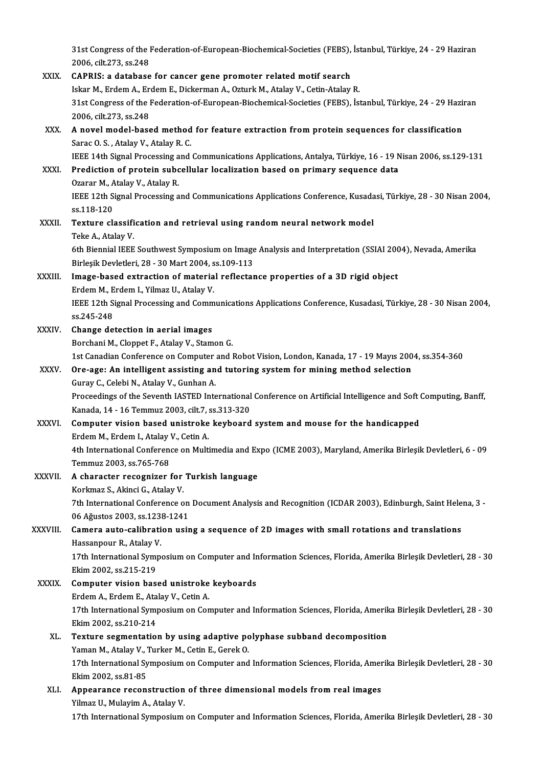31st Congress of the Federation-of-European-Biochemical-Societies (FEBS), İstanbul, Türkiye, 24 - 29 Haziran<br>2006. silt 273, ss 248 31st Congress of the l<br>2006, cilt.273, ss.248 31st Congress of the Federation-of-European-Biochemical-Societies (FEBS),<br>2006, cilt.273, ss.248<br>XXIX. CAPRIS: a database for cancer gene promoter related motif search<br>John M. Endom A. Endom E. Diskoppen A. Ortual: M. Atal 2006, cilt.273, ss.248<br>CAPRIS: a database for cancer gene promoter related motif search<br>Iskar M., Erdem A., Erdem E., Dickerman A., Ozturk M., Atalay V., Cetin-Atalay R.<br>21st Congress of the Esderation of European Bioshemi

CAPRIS: a database for cancer gene promoter related motif search<br>Iskar M., Erdem A., Erdem E., Dickerman A., Ozturk M., Atalay V., Cetin-Atalay R.<br>31st Congress of the Federation-of-European-Biochemical-Societies (FEBS), İ Iskar M., Erdem A., Er<br>31st Congress of the l<br>2006, cilt.273, ss.248 31st Congress of the Federation-of-European-Biochemical-Societies (FEBS), İstanbul, Türkiye, 24 - 29 Hazir<br>2006, cilt.273, ss.248<br>XXX. A novel model-based method for feature extraction from protein sequences for classifica

## 2006, cilt.273, ss.248<br>A novel model-based method<br>Sarac O. S. , Atalay V., Atalay R. C.<br><sup>IEEE 14th Signal Processing and</sup> A novel model-based method for feature extraction from protein sequences for classification<br>Sarac O. S. , Atalay V., Atalay R. C.<br>IEEE 14th Signal Processing and Communications Applications, Antalya, Türkiye, 16 - 19 Nisan Sarac O. S. , Atalay V., Atalay R. C.<br>IEEE 14th Signal Processing and Communications Applications, Antalya, Türkiye, 16 - 19 N<br>XXXI. Prediction of protein subcellular localization based on primary sequence data<br>Oranar M. A

**IEEE 14th Signal Processing a**<br>**Prediction of protein subc**<br>Ozarar M., Atalay V., Atalay R.<br>IEEE 12th Signal Processing a Prediction of protein subcellular localization based on primary sequence data<br>Ozarar M., Atalay V., Atalay R.<br>IEEE 12th Signal Processing and Communications Applications Conference, Kusadasi, Türkiye, 28 - 30 Nisan 2004,<br>9 Ozarar M., Atalay V., Atalay R.<br>IEEE 12th Signal Processing and Communications Applications Conference, Kusadasi, Türkiye, 28 - 30 Nisan 2004,<br>ss.118-120 IEEE 12th Signal Processing and Communications Applications Conference, Kusada<br>ss.118-120<br>XXXII. Texture classification and retrieval using random neural network model<br>Teke A. Ateley V.

# ss.118-120<br><mark>Texture classifi</mark><br>Teke A., Atalay V.<br><sup>4th Dionnial IEEE</sup> Texture classification and retrieval using random neural network model<br>Teke A., Atalay V.<br>6th Biennial IEEE Southwest Symposium on Image Analysis and Interpretation (SSIAI 2004), Nevada, Amerika<br>Birlesik Devletleri, 28 – 2

Teke A., Atalay V.<br>6th Biennial IEEE Southwest Symposium on Image<br>Birleşik Devletleri, 28 - 30 Mart 2004, ss.109-113<br>Image besed extrastion of material reflester Birleşik Devletleri, 28 - 30 Mart 2004, ss.109-113

## XXXIII. Image-based extraction of material reflectance properties of a 3D rigid object<br>Erdem M., Erdem I., Yilmaz U., Atalay V. I<mark>mage-based extraction of material reflectance properties of a 3D rigid object</mark><br>Erdem M., Erdem I., Yilmaz U., Atalay V.<br>IEEE 12th Signal Processing and Communications Applications Conference, Kusadasi, Türkiye, 28 - 30 N

Erdem M., E<br>IEEE 12th S<br>ss.245-248<br>Change de IEEE 12th Signal Processing and Comm<br>ss.245-248<br>XXXIV. Change detection in aerial images<br>Perchani M. Clannet E. Atalau V. Stam

# ss.245-248<br>Change detection in aerial images<br>Borchani M., Cloppet F., Atalay V., Stamon G.

Change detection in aerial images<br>Borchani M., Cloppet F., Atalay V., Stamon G.<br>1st Canadian Conference on Computer and Robot Vision, London, Kanada, 17 - 19 Mayıs 2004, ss.354-360<br>One age: An intelligent assisting and tut

## XXXV. Ore-age: An intelligent assisting and tutoring system for mining method selection<br>Guray C., Celebi N., Atalay V., Gunhan A. 1st Canadian Conference on Computer<br>Ore-age: An intelligent assisting an<br>Guray C., Celebi N., Atalay V., Gunhan A.

Ore-age: An intelligent assisting and tutoring system for mining method selection<br>Guray C., Celebi N., Atalay V., Gunhan A.<br>Proceedings of the Seventh IASTED International Conference on Artificial Intelligence and Soft Com Guray C., Celebi N., Atalay V., Gunhan A.<br>Proceedings of the Seventh IASTED International<br>Kanada, 14 - 16 Temmuz 2003, cilt.7, ss.313-320<br>Computer vision based unistrake keyboard Proceedings of the Seventh IASTED International Conference on Artificial Intelligence and Soft (<br>Kanada, 14 - 16 Temmuz 2003, cilt.7, ss.313-320<br>XXXVI. Computer vision based unistroke keyboard system and mouse for the hand

# Kanada, 14 - 16 Temmuz 2003, cilt.7, ss.313-320<br>Computer vision based unistroke keyboard system and mouse for the handicapped<br>Erdem M., Erdem I., Atalay V., Cetin A.

4th International Conference on Multimedia and Expo (ICME 2003), Maryland, Amerika Birleşik Devletleri, 6 - 09 Temmuz2003, ss.765-768 4th International Conference on Multimedia and Ex<br>Temmuz 2003, ss.765-768<br>XXXVII. A character recognizer for Turkish language<br>Kerlman S. Altingi G. Atalay V.

Temmuz 2003, ss.765-768<br>A character recognizer for<br>Korkmaz S., Akinci G., Atalay V.<br><sup>7th International Corference o</sup> A character recognizer for Turkish language<br>Korkmaz S., Akinci G., Atalay V.<br>7th International Conference on Document Analysis and Recognition (ICDAR 2003), Edinburgh, Saint Helena, 3 -<br>06 Ažustes 2002, 88,1229,1241 Korkmaz S., Akinci G., Atalay V.<br>7th International Conference on<br>06 Ağustos 2003, ss.1238-1241<br>Camara auta salibration usin

## 06 Ağustos 2003, ss.1238-1241<br>XXXVIII. Camera auto-calibration using a sequence of 2D images with small rotations and translations 06 Ağustos 2003, ss.1238<br>**Camera auto-calibrati**<br>Hassanpour R., Atalay V.<br>17th International Sumn

17th International Symposium on Computer and Information Sciences, Florida, Amerika Birleşik Devletleri, 28 - 30<br>Ekim 2002, ss.215-219 Hassanpour R., Atalay V<br>17th International Symp<br>Ekim 2002, ss.215-219<br>Computer vision base 17th International Symposium on Computer and In<br>Ekim 2002, ss.215-219<br>XXXIX. Computer vision based unistroke keyboards<br>Exdem A. Exdem E. Atalay V. Cotin A.

# Ekim 2002, ss.215-219<br>Computer vision based unistroke<br>Erdem A., Erdem E., Atalay V., Cetin A.<br>17th International Sumnesium on Con

Erdem A., Erdem E., Atalay V., Cetin A.

17th International Symposium on Computer and Information Sciences, Florida, Amerika Birleşik Devletleri, 28 - 30<br>Ekim 2002, ss.210-214 17th International Symposium on Computer and Information Sciences, Florida, Amerik<br>Ekim 2002, ss.210-214<br>XL. Texture segmentation by using adaptive polyphase subband decomposition<br>Veman M. Atalay V. Turker M. Cetin E. Cara

# Ekim 2002, ss.210-214<br>Texture segmentation by using adaptive po<br>Yaman M., Atalay V., Turker M., Cetin E., Gerek O.<br>17th International Sympesium on Computer and

Texture segmentation by using adaptive polyphase subband decomposition<br>Yaman M., Atalay V., Turker M., Cetin E., Gerek O.<br>17th International Symposium on Computer and Information Sciences, Florida, Amerika Birleşik Devletl Yaman M., Atalay V., Turker M., Cetin E., Gerek O.<br>17th International Symposium on Computer and<br>Ekim 2002, ss.81-85 17th International Symposium on Computer and Information Sciences, Florida, Amer<br>Ekim 2002, ss.81-85<br>XLI. Appearance reconstruction of three dimensional models from real images<br>Vilmage U. Mulavim A. Atalay V.

## Appearance reconstruction of three dimensional models from real images<br>Yilmaz U., Mulayim A., Atalay V.

17th International Symposium on Computer and Information Sciences, Florida, Amerika Birleşik Devletleri, 28 - 30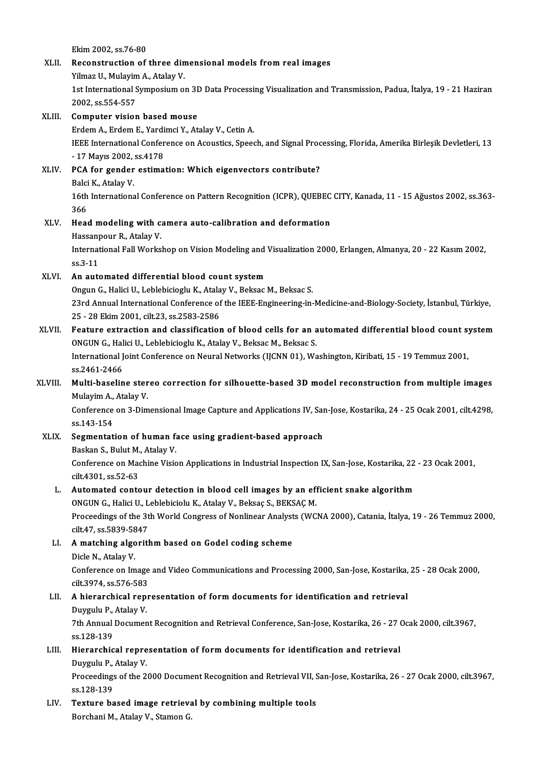Ekim2002, ss.76-80

# Ekim 2002, ss.76-80<br>XLII. Reconstruction of three dimensional models from real images<br>Vilmar II. Mularim A. Atalay V. Ekim 2002, ss.76-80<br>Reconstruction of three din<br>Yilmaz U., Mulayim A., Atalay V.<br>1st International Sumnesium o

Reconstruction of three dimensional models from real images<br>Yilmaz U., Mulayim A., Atalay V.<br>1st International Symposium on 3D Data Processing Visualization and Transmission, Padua, İtalya, 19 - 21 Haziran<br>2002. SS 554 557 Yilmaz U., Mulayim<br>1st International S<br>2002, ss.554-557<br>Computer visier 2002, ss.554-557<br>**Computer vision based mouse**<br>Erdem A., Erdem E., Yardimci Y., Atalay V., Cetin A.<br><sup>IEEE</sup> International Conference on Acquatics, Speed

## 2002, ss.554-557<br>XLIII. Computer vision based mouse

IEEE International Conference on Acoustics, Speech, and Signal Processing, Florida, Amerika Birleşik Devletleri, 13<br>- 17 Mayıs 2002, ss,4178 Erdem A., Erdem E., Yardi<br>IEEE International Confer<br>- 17 Mayıs 2002, ss.4178<br>PCA for gander estima IEEE International Conference on Acoustics, Speech, and Signal Proc<br>- 17 Mayıs 2002, ss.4178<br>XLIV. PCA for gender estimation: Which eigenvectors contribute?<br>Paki K. Ataku V.

## - 17 Mayıs 2002,<br>PCA for gender<br>Balci K., Atalay V.<br>16th Internations 16th International Conference on Pattern Recognition (ICPR), QUEBEC CITY, Kanada, 11 - 15 Ağustos 2002, ss.363-<br>366 Balci K, Atalay V

16th International Conference on Pattern Recognition (ICPR), QUEBEC<br>366<br>XLV. Head modeling with camera auto-calibration and deformation<br>Hessennour B Atalov V 366<br>H<mark>ead modeling with c</mark>:<br>Hassanpour R., Atalay V.<br>International Fell Works Head modeling with camera auto-calibration and deformation<br>Hassanpour R., Atalay V.<br>International Fall Workshop on Vision Modeling and Visualization 2000, Erlangen, Almanya, 20 - 22 Kasım 2002,

Hassanpour R., Atalay V.<br>International Fall Workshop on Vision Modeling and<br>ss.3-11<br>An automated differential blood count system International Fall Workshop on Vision Modeling and<br>ss.3-11<br>XLVI. An automated differential blood count system<br>Opeup C. Holisi II. Leblebisieshu K. Atalay V. Belgas

Ongun G., Halici U., Leblebicioglu K., Atalay V., Beksac M., Beksac S. An automated differential blood count system<br>Ongun G., Halici U., Leblebicioglu K., Atalay V., Beksac M., Beksac S.<br>23rd Annual International Conference of the IEEE-Engineering-in-Medicine-and-Biology-Society, İstanbul, Tü Ongun G., Halici U., Leblebicioglu K., Atala<br>23rd Annual International Conference of<br>25 - 28 Ekim 2001, cilt.23, ss.2583-2586<br>Foature extraction and classification 23rd Annual International Conference of the IEEE-Engineering-in-Medicine-and-Biology-Society, İstanbul, Türkiye,<br>25 - 28 Ekim 2001, cilt.23, ss.2583-2586<br>XLVII. Feature extraction and classification of blood cells for an a

# 25 - 28 Ekim 2001, cilt.23, ss.2583-2586<br>Feature extraction and classification of blood cells for an a<br>ONGUN G., Halici U., Leblebicioglu K., Atalay V., Beksac M., Beksac S.<br>International Joint Conference on Noural Network Feature extraction and classification of blood cells for an automated differential blood count system<br>ONGUN G., Halici U., Leblebicioglu K., Atalay V., Beksac M., Beksac S.<br>International Joint Conference on Neural Networks

ONGUN G., Hal<br>International J<br>ss.2461-2466<br>Multi baselin International Joint Conference on Neural Networks (IJCNN 01), Washington, Kiribati, 15 - 19 Temmuz 2001,<br>ss.2461-2466<br>XLVIII. Multi-baseline stereo correction for silhouette-based 3D model reconstruction from multiple imag

# ss.2461-2466<br>Multi-baseline ster<br>Mulayim A., Atalay V.<br>Conference on <sup>2</sup> Dim Multi-baseline stereo correction for silhouette-based 3D model reconstruction from multiple images<br>Mulayim A., Atalay V.<br>Conference on 3-Dimensional Image Capture and Applications IV, San-Jose, Kostarika, 24 - 25 Ocak 2001

Mulayim A.,<br>Conference<br>ss.143-154<br>Segmentet Conference on 3-Dimensional Image Capture and Applications IV, Sar<br>ss.143-154<br>XLIX. Segmentation of human face using gradient-based approach<br>Backen S. Bulut M. Atoleu V.

ss.143-154<br>Segmentation of human f:<br>Baskan S., Bulut M., Atalay V.<br>Conference on Machine Visio Segmentation of human face using gradient-based approach<br>Baskan S., Bulut M., Atalay V.<br>Conference on Machine Vision Applications in Industrial Inspection IX, San-Jose, Kostarika, 22 - 23 Ocak 2001,<br>S<sup>ilt 4201</sup>, se 52.63 Baskan S., Bulut M.<br>Conference on Mac<br>cilt.4301, ss.52-63<br>Automated conte

# Conference on Machine Vision Applications in Industrial Inspection IX, San-Jose, Kostarika, 22<br>cilt.4301, ss.52-63<br>L. Automated contour detection in blood cell images by an efficient snake algorithm<br>ONCUN C. Holigi II, Joh cilt.4301, ss.52-63<br>Automated contour detection in blood cell images by an eff<br>ONGUN G., Halici U., Leblebiciolu K., Atalay V., Beksaç S., BEKSAÇ M.<br>Preseedings of the 3th World Congress of Noplinear Anglysts (WG

L. Automated contour detection in blood cell images by an efficient snake algorithm<br>ONGUN G., Halici U., Leblebiciolu K., Atalay V., Beksaç S., BEKSAÇ M.<br>Proceedings of the 3th World Congress of Nonlinear Analysts (WCNA 20 ONGUN G., Halici U., L<br>Proceedings of the 3t<br>cilt.47, ss.5839-5847 Proceedings of the 3th World Congress of Nonlinear Analyst<br>cilt.47, ss.5839-5847<br>LI. A matching algorithm based on Godel coding scheme<br>Disle N. Atalay V.

# cilt.47, ss.5839-58<br>A matching algo<br>Dicle N., Atalay V.<br>Conference on Im

A matching algorithm based on Godel coding scheme<br>Dicle N., Atalay V.<br>Conference on Image and Video Communications and Processing 2000, San-Jose, Kostarika, 25 - 28 Ocak 2000,<br>silt 2974, se 576, 592 Dicle N., Atalay V.<br>Conference on Image<br>cilt.3974, ss.576-583 Conference on Image and Video Communications and Processing 2000, San-Jose, Kostarika,<br>cilt.3974, ss.576-583<br>LII. A hierarchical representation of form documents for identification and retrieval<br>Duysulu B. Atalev V.

## cilt.3974, ss.576-583<br>**A hierarchical rep**i<br>Duygulu P., Atalay V.<br><sup>7th Annual Degumen</sup> Duygulu P, Atalay V

7th Annual Document Recognition and Retrieval Conference, San-Jose, Kostarika, 26 - 27 Ocak 2000, cilt.3967, ss.128-139 7th Annual Document Recognition and Retrieval Conference, San-Jose, Kostarika, 26 - 27 (<br>ss.128-139<br>LIII. Hierarchical representation of form documents for identification and retrieval<br>Durguly B. Atalay V.

# ss.128-139<br>Hierarchical repre<br>Duygulu P., Atalay V.<br>Preceedings of the <sup>2</sup>

Hierarchical representation of form documents for identification and retrieval<br>Duygulu P., Atalay V.<br>Proceedings of the 2000 Document Recognition and Retrieval VII, San-Jose, Kostarika, 26 - 27 Ocak 2000, cilt.3967,<br>28.129 Duygulu P.,<br>Proceedings<br>ss.128-139<br>Tortune be Proceedings of the 2000 Document Recognition and Retrieval VII, S<br>ss.128-139<br>LIV. Texture based image retrieval by combining multiple tools<br>Perchani M. Atalev V. Stamen C

ss.128-139<br><mark>Texture based image retriev</mark>.<br>Borchani M., Atalay V., Stamon G.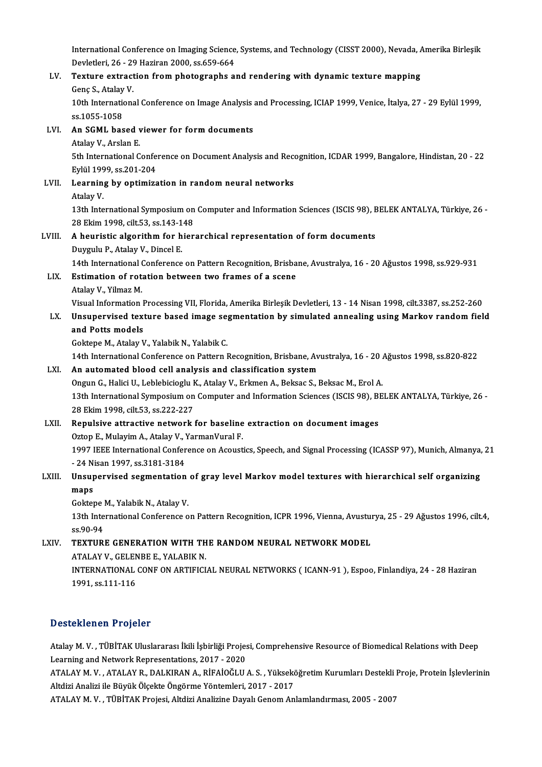International Conference on Imaging Science, Systems, and Technology (CISST 2000), Nevada, Amerika Birleşik<br>Devletleri 36, 20 Hariran 2000, 93659,664

## International Conference on Imaging Science<br>Devletleri, 26 - 29 Haziran 2000, ss.659-664<br>Texture extrection from photographs e: International Conference on Imaging Science, Systems, and Technology (CISST 2000), Nevada, *P*<br>Devletleri, 26 - 29 Haziran 2000, ss.659-664<br>LV. Texture extraction from photographs and rendering with dynamic texture mapping Devletleri, 26 - 29 Haziran 2000, ss.659-664<br>LV. Texture extraction from photographs and rendering with dynamic texture mapping<br>Genç S., Atalay V. Texture extraction from photographs and rendering with dynamic texture mapping<br>Genç S., Atalay V.<br>10th International Conference on Image Analysis and Processing, ICIAP 1999, Venice, İtalya, 27 - 29 Eylül 1999,<br>99 1055 1059 Genç S., Atalay<br>10th Internation<br>ss.1055-1058 10th International Conference on Image Analysis<br>ss.1055-1058<br>LVI. An SGML based viewer for form documents ss.1055-1058<br>An SGML based<br>Atalay V., Arslan E.<br>Eth International C An SGML based viewer for form documents<br>Atalay V., Arslan E.<br>5th International Conference on Document Analysis and Recognition, ICDAR 1999, Bangalore, Hindistan, 20 - 22<br>Fylill 1999, ss 201, 204 Atalay V., Arslan E.<br>5th International Confer<br>Eylül 1999, ss.201-204<br>Learning by ontiming LVII. Learning by optimization in randomneural networks<br>Atalav V. Eylül 1999, ss 201-204 Learning by optimization in random neural networks<br>Atalay V.<br>13th International Symposium on Computer and Information Sciences (ISCIS 98), BELEK ANTALYA, Türkiye, 26 -<br>28 Ehim 1998, silt 52, ss.142 148 Atalay V.<br>13th International Symposium on<br>28 Ekim 1998, cilt.53, ss.143-148<br>A houristic alsorithm for hier LVIII. A heuristic algorithm for hierarchical representation of form documents<br>Duygulu P., Atalay V., Dincel E. 28 Ekim 1998, cilt 53, ss 143-148 A heuristic algorithm for hierarchical representation of form documents<br>Duygulu P., Atalay V., Dincel E.<br>14th International Conference on Pattern Recognition, Brisbane, Avustralya, 16 - 20 Ağustos 1998, ss.929-931<br>Estimati LIX. Estimation of rotation between two frames of a scene<br>Atalay V., Yilmaz M. 14th International<br>Estimation of rot:<br>Atalay V., Yilmaz M.<br>Vieuel Information Estimation of rotation between two frames of a scene<br>Atalay V., Yilmaz M.<br>Visual Information Processing VII, Florida, Amerika Birleşik Devletleri, 13 - 14 Nisan 1998, cilt.3387, ss.252-260 Atalay V., Yilmaz M.<br>Visual Information Processing VII, Florida, Amerika Birleşik Devletleri, 13 - 14 Nisan 1998, cilt.3387, ss.252-260<br>LX. Unsupervised texture based image segmentation by simulated annealing using Mar Visual Information I<br>Unsupervised text<br>and Potts models<br>Coktone M Ataley V Unsupervised texture based image segmentation by simulated annealing using Markov random field<br>and Potts models<br>Goktepe M., Atalay V., Yalabik N., Yalabik C. and Potts models<br>Goktepe M., Atalay V., Yalabik N., Yalabik C.<br>14th International Conference on Pattern Recognition, Brisbane, Avustralya, 16 - 20 Ağustos 1998, ss.820-822<br>An automated blood sell analysis and classificatio Goktepe M., Atalay V., Yalabik N., Yalabik C.<br>14th International Conference on Pattern Recognition, Brisbane, Av<br>LXI. An automated blood cell analysis and classification system<br>2000 C. Halici II. Johlabigiach: K. Atalay V. 14th International Conference on Pattern Recognition, Brisbane, Avustralya, 16 - 20 .<br>An automated blood cell analysis and classification system<br>Ongun G., Halici U., Leblebicioglu K., Atalay V., Erkmen A., Beksac S., Beksa 13th International Symposium on Computer and Information System<br>13th International Symposium on Computer and Information Sciences (ISCIS 98), BELEK ANTALYA, Türkiye, 26 -<br>13th International Symposium on Computer and Inform Ongun G., Halici U., Leblebicioglu K., Atalay V., Erkmen A., Beksac S., Beksac M., Erol A. 13th International Symposium on Computer and Information Sciences (ISCIS 98), B<br>28 Ekim 1998, cilt.53, ss.222-227<br>LXII. Repulsive attractive network for baseline extraction on document images<br>20ton E. Mulayim A. Atalay V. 28 Ekim 1998, cilt.53, ss.222-227<br>Repulsive attractive network for baseline<br>Oztop E., Mulayim A., Atalay V., YarmanVural F.<br>1997 IEEE International Conference on Acquat Repulsive attractive network for baseline extraction on document images<br>Oztop E., Mulayim A., Atalay V., YarmanVural F.<br>1997 IEEE International Conference on Acoustics, Speech, and Signal Processing (ICASSP 97), Munich, Al Oztop E., Mulayim A., Atalay V., 1997<br>1997 IEEE International Confer<br>- 24 Nisan 1997, ss.3181-3184<br>Uneunerwised cormentation 1997 IEEE International Conference on Acoustics, Speech, and Signal Processing (ICASSP 97), Munich, Almanya,<br>24 Nisan 1997, ss.3181-3184<br>LXIII. Unsupervised segmentation of gray level Markov model textures with hierarchica - 24 Nisan 1997, ss.3181-3184<br>Unsupervised segmentation<br>maps Unsupervised segmentation<br>maps<br>Goktepe M., Yalabik N., Atalay V.<br>12th International Conference o 13th International Conference on Pattern Recognition, ICPR 1996, Vienna, Avusturya, 25 - 29 Ağustos 1996, cilt.4, ss.90-94 Goktepe M., Yalabik N., Atalay V. 13th International Conference on Pattern Recognition, ICPR 1996, Vienna, Avusture<br>
ss.90-94<br>
LXIV. TEXTURE GENERATION WITH THE RANDOM NEURAL NETWORK MODEL<br>
ATALAY V. CELENDE E. YALAPIK N ss.90-94<br>TEXTURE GENERATION WITH TH<br>ATALAY V., GELENBE E., YALABIK N.<br>INTERNATIONAL CONE ON ARTIEICI ATALAY V., GELENBE E., YALABIK N.

INTERNATIONAL CONF ON ARTIFICIAL NEURAL NETWORKS (ICANN-91), Espoo, Finlandiya, 24 - 28 Haziran<br>1991, ss.111-116

## Desteklenen Projeler

Desteklenen Projeler<br>Atalay M. V. , TÜBİTAK Uluslararası İkili İşbirliği Projesi, Comprehensive Resource of Biomedical Relations with Deep<br>Learning and Naturalk Bonnesontations, 2017, -2020 Learning and Network<br>Atalay M. V. , TÜBİTAK Uluslararası İkili İşbirliği Projes<br>Learning and Network Representations, 2017 - 2020<br>ATALAY M. V. , ATALAY R. DALKIRAN A. RİFAİQĞLU

Learning and Network Representations, 2017 - 2020<br>ATALAY M. V. , ATALAY R., DALKIRAN A., RİFAİOĞLU A. S. , Yükseköğretim Kurumları Destekli Proje, Protein İşlevlerinin Altdizi Analizi ile Büyük Ölçekte Öngörme Yöntemleri, 2017 - 2017

ATALAY M.V., TÜBİTAK Projesi, Altdizi Analizine Dayalı Genom Anlamlandırması, 2005 - 2007